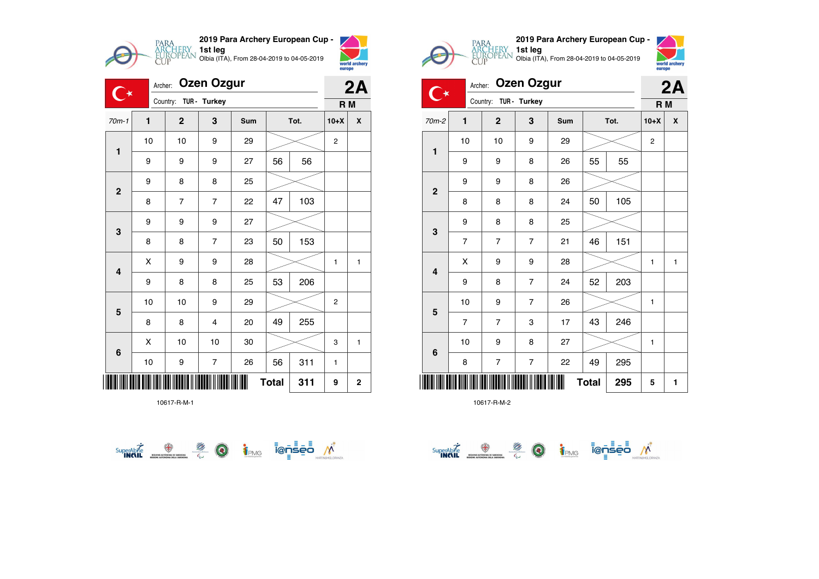

|                     |              | 2A             |                |     |    |      |                |                |
|---------------------|--------------|----------------|----------------|-----|----|------|----------------|----------------|
|                     |              | Country:       | TUR- Turkey    |     |    |      | R <sub>M</sub> |                |
| $70m-1$             | $\mathbf{1}$ | $\mathbf 2$    | 3              | Sum |    | Tot. | $10+X$         | X              |
| 1                   | 10           | 10             | 9              | 29  |    |      | $\overline{c}$ |                |
|                     | 9            | 9              | 9              | 27  | 56 | 56   |                |                |
| $\mathbf{2}$        | 9            | 8              | 8              | 25  |    |      |                |                |
|                     | 8            | $\overline{7}$ | $\overline{7}$ | 22  | 47 | 103  |                |                |
| 3                   | 9            | 9              | 9              | 27  |    |      |                |                |
|                     | 8            | 8              | $\overline{7}$ | 23  | 50 | 153  |                |                |
| 4                   | X            | 9              | 9              | 28  |    |      | 1              | 1              |
|                     | 9            | 8              | 8              | 25  | 53 | 206  |                |                |
| 5                   | 10           | 10             | 9              | 29  |    |      | $\overline{c}$ |                |
|                     | 8            | 8              | $\overline{4}$ | 20  | 49 | 255  |                |                |
| 6                   | X            | 10             | 10             | 30  |    |      | 3              | $\mathbf{1}$   |
|                     | $10$         | 9              | $\overline{7}$ | 26  | 56 | 311  | 1              |                |
| <b>Total</b><br>311 |              |                |                |     |    |      | 9              | $\overline{2}$ |



world archery

europe



10617-R-M-2

 $\overbrace{\text{Supersymmetry}}^{\text{Supersymmetry}}$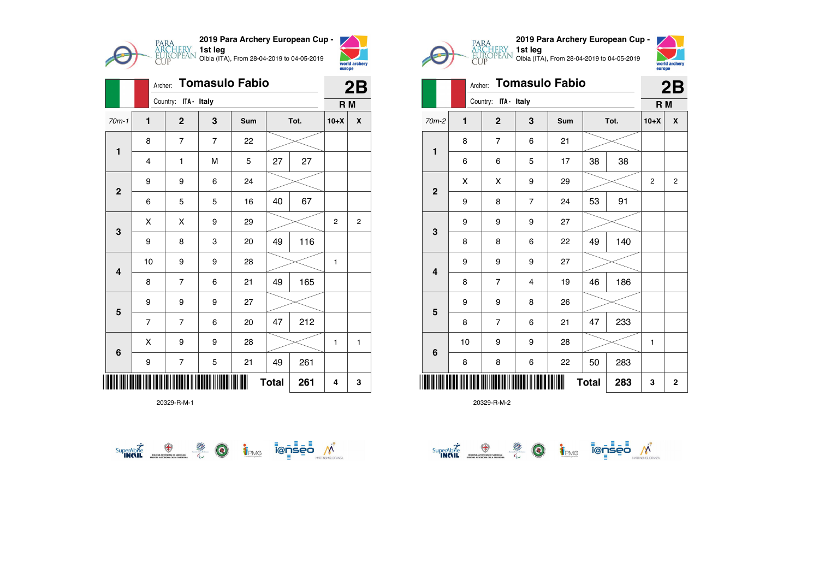

|              | Archer: | <b>Tomasulo Fabio</b>    |                |     | 2B           |      |                |                  |
|--------------|---------|--------------------------|----------------|-----|--------------|------|----------------|------------------|
|              |         | Country: ITA - Italy     |                |     |              |      | R <sub>M</sub> |                  |
| $70m-1$      | 1       | $\mathbf 2$              | 3              | Sum |              | Tot. | $10+X$         | $\boldsymbol{x}$ |
| 1            | 8       | $\overline{7}$           | $\overline{7}$ | 22  |              |      |                |                  |
|              | 4       | 1                        | М              | 5   | 27           | 27   |                |                  |
| $\mathbf{2}$ | 9       | 9                        | 6              | 24  |              |      |                |                  |
|              | 6       | 5                        | 5              | 16  | 40           | 67   |                |                  |
| 3            | X       | x                        | 9              | 29  |              |      | $\overline{2}$ | $\overline{2}$   |
|              | 9       | 8                        | 3              | 20  | 49           | 116  |                |                  |
| 4            | 10      | 9                        | 9              | 28  |              |      | 1              |                  |
|              | 8       | $\overline{7}$           | 6              | 21  | 49           | 165  |                |                  |
| 5            | 9       | 9                        | 9              | 27  |              |      |                |                  |
|              | 7       | 7                        | 6              | 20  | 47           | 212  |                |                  |
| 6            | X       | 9                        | 9              | 28  |              |      | 1              | $\mathbf{1}$     |
|              | 9       | $\overline{\mathcal{I}}$ | 5              | 21  | 49           | 261  |                |                  |
|              |         |                          |                |     | <b>Total</b> | 261  | 4              | 3                |





|                |    | <b>Tomasulo Fabio</b><br>Archer: |                |     | 2B           |      |                |                |
|----------------|----|----------------------------------|----------------|-----|--------------|------|----------------|----------------|
|                |    | Country: ITA - Italy             |                |     |              |      | R <sub>M</sub> |                |
| 70m-2          | 1  | $\overline{2}$                   | 3              | Sum |              | Tot. | $10+X$         | X              |
| 1              | 8  | $\overline{7}$                   | 6              | 21  |              |      |                |                |
|                | 6  | 6                                | 5              | 17  | 38           | 38   |                |                |
| $\mathbf 2$    | X  | X                                | 9              | 29  |              |      | $\overline{c}$ | $\overline{2}$ |
|                | 9  | 8                                | $\overline{7}$ | 24  | 53           | 91   |                |                |
| 3              | 9  | 9                                | 9              | 27  |              |      |                |                |
|                | 8  | 8                                | 6              | 22  | 49           | 140  |                |                |
| 4              | 9  | 9                                | 9              | 27  |              |      |                |                |
|                | 8  | $\overline{7}$                   | $\overline{4}$ | 19  | 46           | 186  |                |                |
| 5              | 9  | 9                                | 8              | 26  |              |      |                |                |
|                | 8  | $\overline{7}$                   | 6              | 21  | 47           | 233  |                |                |
| $6\phantom{1}$ | 10 | 9                                | 9              | 28  |              |      | 1              |                |
|                | 8  | 8                                | 6              | 22  | 50           | 283  |                |                |
|                |    |                                  |                |     | <b>Total</b> | 283  | 3              | $\mathbf{2}$   |

20329-R-M-2

SuperAbile <del>O</del> & O j<sub>ews</sub> longled in

SuperAbile <del>O</del> & O j<sub>ews</sub> longled N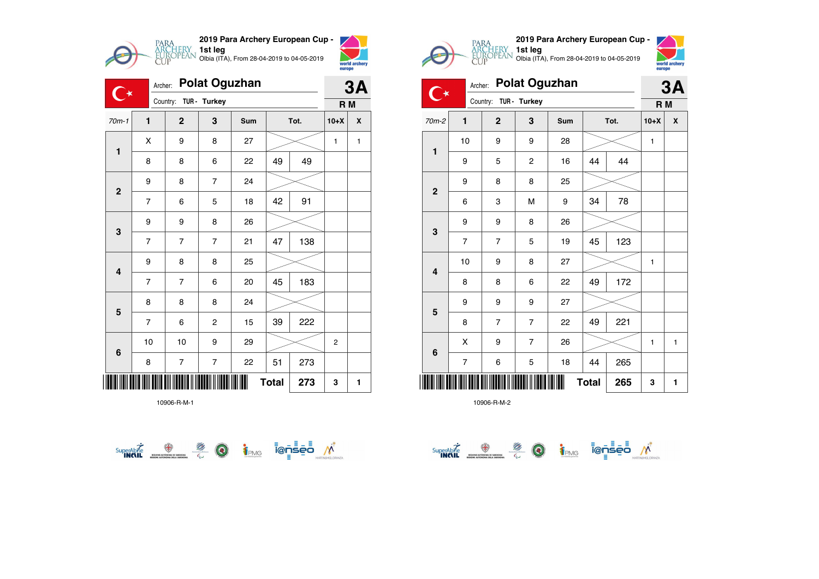

| <b>Polat Oguzhan</b><br>Archer: |                |                          |                          |     |              |      |                | 3A           |  |
|---------------------------------|----------------|--------------------------|--------------------------|-----|--------------|------|----------------|--------------|--|
|                                 |                | Country: TUR- Turkey     |                          |     |              |      | R <sub>M</sub> |              |  |
| $70m-1$                         | $\mathbf{1}$   | $\mathbf 2$              | 3                        | Sum |              | Tot. | $10+X$         | X            |  |
| $\mathbf{1}$                    | X              | 9                        | 8                        | 27  |              |      | $\mathbf{1}$   | $\mathbf{1}$ |  |
|                                 | 8              | 8                        | 6                        | 22  | 49           | 49   |                |              |  |
| $\mathbf 2$                     | 9              | 8                        | $\overline{7}$           | 24  |              |      |                |              |  |
|                                 | 7              | 6                        | 5                        | 18  | 42           | 91   |                |              |  |
| 3                               | 9              | 9                        | 8                        | 26  |              |      |                |              |  |
|                                 | $\overline{7}$ | $\overline{7}$           | $\overline{7}$           | 21  | 47           | 138  |                |              |  |
| $\overline{\mathbf{4}}$         | 9              | 8                        | 8                        | 25  |              |      |                |              |  |
|                                 | $\overline{7}$ | $\overline{7}$           | 6                        | 20  | 45           | 183  |                |              |  |
| 5                               | 8              | 8                        | 8                        | 24  |              |      |                |              |  |
|                                 | $\overline{7}$ | 6                        | 2                        | 15  | 39           | 222  |                |              |  |
| 6                               | 10             | 10                       | 9                        | 29  |              |      | $\overline{2}$ |              |  |
|                                 | 8              | $\overline{\mathcal{I}}$ | $\overline{\mathcal{I}}$ | 22  | 51           | 273  |                |              |  |
|                                 |                |                          |                          |     | <b>Total</b> | 273  | 3              | 1            |  |







Superabre <del>C</del> & O j<sub>ews</sub> jer<mark>isée *n*°</mark>

Superabile <del>The Second Service</del> of the superior of the second terms in the second terms of the second terms in the second terms in the second terms in the second terms in the second terms in the second second terms in the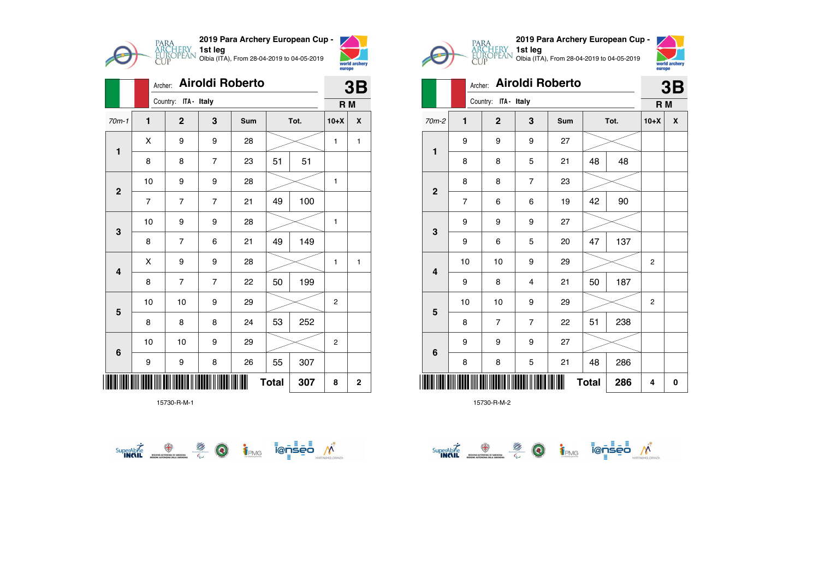

|              | Archer:        | Airoldi Roberto      |                |     | 3B           |     |                |                  |
|--------------|----------------|----------------------|----------------|-----|--------------|-----|----------------|------------------|
|              |                | Country: ITA - Italy |                |     |              |     | R <sub>M</sub> |                  |
| $70m-1$      | 1              | $\mathbf 2$          | 3              | Sum | Tot.         |     | $10+X$         | $\boldsymbol{x}$ |
| 1            | x              | 9                    | 9              | 28  |              |     | $\mathbf{1}$   | 1                |
|              | 8              | 8                    | $\overline{7}$ | 23  | 51           | 51  |                |                  |
| $\mathbf{2}$ | 10             | 9                    | 9              | 28  |              |     | 1              |                  |
|              | $\overline{7}$ | $\overline{7}$       | $\overline{7}$ | 21  | 49           | 100 |                |                  |
| 3            | 10             | 9                    | 9              | 28  |              |     | 1              |                  |
|              | 8              | $\overline{7}$       | 6              | 21  | 49           | 149 |                |                  |
| 4            | x              | 9                    | 9              | 28  |              |     | 1              | 1                |
|              | 8              | $\overline{7}$       | $\overline{7}$ | 22  | 50           | 199 |                |                  |
| 5            | 10             | 10                   | 9              | 29  |              |     | $\overline{c}$ |                  |
|              | 8              | 8                    | 8              | 24  | 53           | 252 |                |                  |
| 6            | 10             | 10                   | 9              | 29  |              |     | $\overline{c}$ |                  |
|              | 9              | 9                    | 8              | 26  | 55           | 307 |                |                  |
|              |                |                      |                |     | <b>Total</b> | 307 | 8              | $\mathbf 2$      |





|                |                | <b>Airoldi Roberto</b><br>Archer: |                      |                |     |              |      |                | 3B |
|----------------|----------------|-----------------------------------|----------------------|----------------|-----|--------------|------|----------------|----|
|                |                |                                   | Country: ITA - Italy |                |     |              |      | R <sub>M</sub> |    |
| 70m-2          | 1              |                                   | $\overline{2}$       | 3              | Sum |              | Tot. | $10+X$         | X  |
| 1              | 9              |                                   | 9                    | 9              | 27  |              |      |                |    |
|                | 8              |                                   | 8                    | 5              | 21  | 48           | 48   |                |    |
| $\mathbf 2$    | 8              |                                   | 8                    | $\overline{7}$ | 23  |              |      |                |    |
|                | $\overline{7}$ |                                   | 6                    | 6              | 19  | 42           | 90   |                |    |
| 3              | 9              |                                   | 9                    | 9              | 27  |              |      |                |    |
|                | 9              |                                   | 6                    | 5              | 20  | 47           | 137  |                |    |
| 4              | 10             |                                   | 10                   | 9              | 29  |              |      | $\overline{2}$ |    |
|                | 9              |                                   | 8                    | $\overline{4}$ | 21  | 50           | 187  |                |    |
|                | 10             |                                   | 10                   | 9              | 29  |              |      | $\overline{2}$ |    |
| 5              | 8              |                                   | $\overline{7}$       | $\overline{7}$ | 22  | 51           | 238  |                |    |
| $6\phantom{1}$ | 9              |                                   | 9                    | 9              | 27  |              |      |                |    |
|                | 8              |                                   | 8                    | 5              | 21  | 48           | 286  |                |    |
|                |                |                                   |                      |                |     | <b>Total</b> | 286  | 4              | 0  |

15730-R-M-2

SuperAbile <del>O</del> & O j<sub>ews</sub> longled in

SuperAbile <del>O</del> & O j<sub>ews</sub> longled N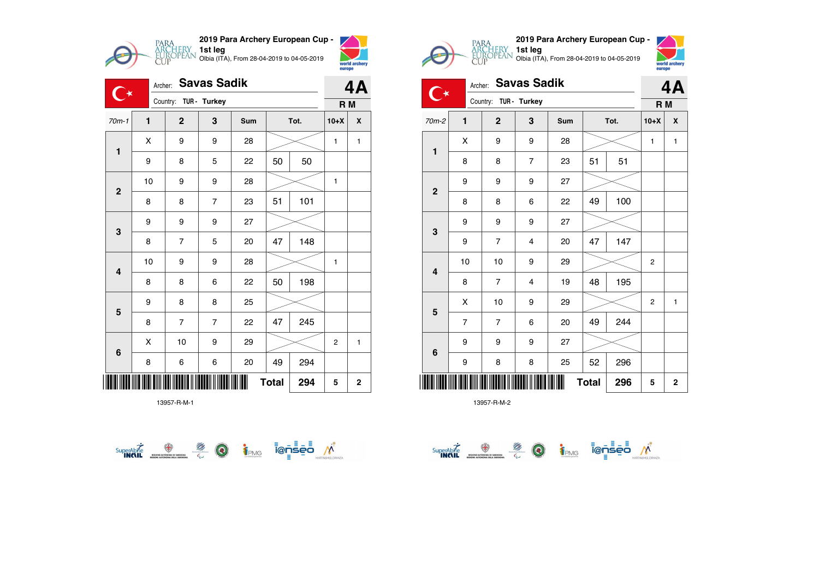

|                         | <b>Savas Sadik</b><br>Archer: |                |                |     |              |      |                |              |
|-------------------------|-------------------------------|----------------|----------------|-----|--------------|------|----------------|--------------|
|                         |                               | Country:       | TUR- Turkey    |     |              |      | R <sub>M</sub> |              |
| $70m-1$                 | $\mathbf{1}$                  | $\mathbf 2$    | 3              | Sum |              | Tot. | $10+X$         | X            |
| $\blacksquare$          | x                             | 9              | 9              | 28  |              |      | $\mathbf{1}$   | $\mathbf{1}$ |
|                         | 9                             | 8              | 5              | 22  | 50           | 50   |                |              |
| $\mathbf{2}$            | 10                            | 9              | 9              | 28  |              |      | $\mathbf{1}$   |              |
|                         | 8                             | 8              | $\overline{7}$ | 23  | 51           | 101  |                |              |
| 3                       | 9                             | 9              | 9              | 27  |              |      |                |              |
|                         | 8                             | 7              | 5              | 20  | 47           | 148  |                |              |
| $\overline{\mathbf{4}}$ | 10                            | 9              | 9              | 28  |              |      | 1              |              |
|                         | 8                             | 8              | 6              | 22  | 50           | 198  |                |              |
| 5                       | 9                             | 8              | 8              | 25  |              |      |                |              |
|                         | 8                             | $\overline{7}$ | $\overline{7}$ | 22  | 47           | 245  |                |              |
| 6                       | X                             | 10             | 9              | 29  |              |      | $\overline{2}$ | $\mathbf{1}$ |
|                         | 8                             | 6              | 6              | 20  | 49           | 294  |                |              |
|                         |                               |                |                |     | <b>Total</b> | 294  | 5              | $\mathbf 2$  |



world archery



13957-R-M-2

**SuperADIC <del>O</del>** 2 O j<sub>ems</sub> jo<del>n</del>sed *N*<sup>\*</sup>

Superabite <del>O</del> & O j<sub>ews</sub> lopesed N'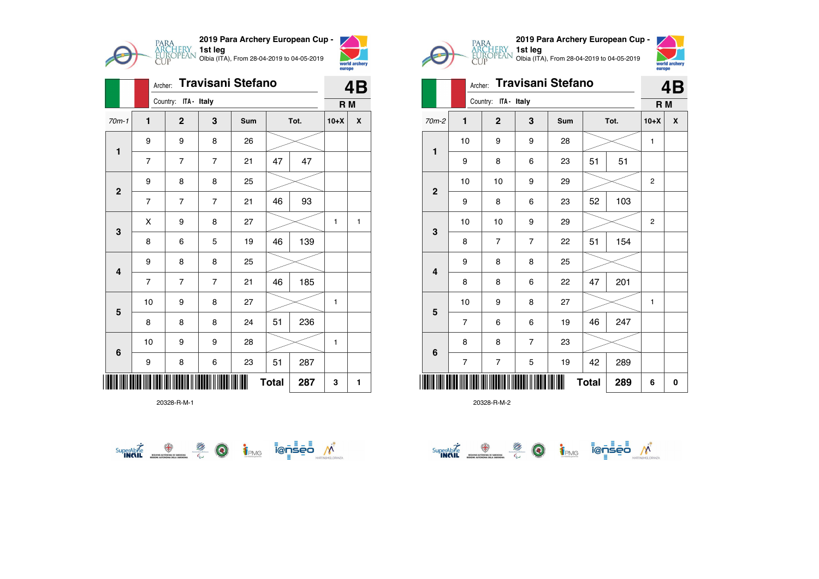

|              | Archer:        | <b>Travisani Stefano</b> |                |     | 4Β           |      |                |   |
|--------------|----------------|--------------------------|----------------|-----|--------------|------|----------------|---|
|              |                | Country: ITA - Italy     |                |     |              |      | R <sub>M</sub> |   |
| $70m-1$      | $\mathbf{1}$   | $\mathbf 2$              | 3              | Sum |              | Tot. | $10+X$         | X |
| 1            | 9              | 9                        | 8              | 26  |              |      |                |   |
|              | $\overline{7}$ | 7                        | $\overline{7}$ | 21  | 47           | 47   |                |   |
| $\mathbf{2}$ | 9              | 8                        | 8              | 25  |              |      |                |   |
|              | $\overline{7}$ | $\overline{7}$           | $\overline{7}$ | 21  | 46           | 93   |                |   |
| 3            | X              | 9                        | 8              | 27  |              |      | $\mathbf{1}$   | 1 |
|              | 8              | 6                        | 5              | 19  | 46           | 139  |                |   |
| 4            | 9              | 8                        | 8              | 25  |              |      |                |   |
|              | $\overline{7}$ | $\overline{7}$           | $\overline{7}$ | 21  | 46           | 185  |                |   |
| 5            | 10             | 9                        | 8              | 27  |              |      | 1              |   |
|              | 8              | 8                        | 8              | 24  | 51           | 236  |                |   |
| 6            | 10             | 9                        | 9              | 28  |              |      | 1              |   |
|              | 9              | 8                        | 6              | 23  | 51           | 287  |                |   |
|              |                |                          |                |     | <b>Total</b> | 287  | 3              | 1 |







|                         |                | <b>Travisani Stefano</b><br>Archer: |                |     |              |      |                |   |  |
|-------------------------|----------------|-------------------------------------|----------------|-----|--------------|------|----------------|---|--|
|                         |                | Country: ITA - Italy                |                |     |              |      | R <sub>M</sub> |   |  |
| 70m-2                   | 1              | $\mathbf 2$                         | 3              | Sum |              | Tot. | $10+X$         | X |  |
| $\mathbf{1}$            | 10             | 9                                   | 9              | 28  |              |      | 1              |   |  |
|                         | 9              | 8                                   | 6              | 23  | 51           | 51   |                |   |  |
| $\mathbf 2$             | 10             | 10                                  | 9              | 29  |              |      | $\overline{2}$ |   |  |
|                         | 9              | 8                                   | 6              | 23  | 52           | 103  |                |   |  |
| 3                       | 10             | 10                                  | 9              | 29  |              |      | $\overline{2}$ |   |  |
|                         | 8              | $\overline{7}$                      | 7              | 22  | 51           | 154  |                |   |  |
| $\overline{\mathbf{4}}$ | 9              | 8                                   | 8              | 25  |              |      |                |   |  |
|                         | 8              | 8                                   | 6              | 22  | 47           | 201  |                |   |  |
| 5                       | 10             | 9                                   | 8              | 27  |              |      | 1              |   |  |
|                         | $\overline{7}$ | 6                                   | 6              | 19  | 46           | 247  |                |   |  |
| $6\phantom{1}$          | 8              | 8                                   | $\overline{7}$ | 23  |              |      |                |   |  |
|                         | 7              | $\overline{\mathcal{I}}$            | 5              | 19  | 42           | 289  |                |   |  |
|                         |                |                                     |                |     | <b>Total</b> | 289  | 6              | 0 |  |

SuperAbile <del>O</del> & O j<sub>ews</sub> longled in

SuperAbile <del>O</del> & O j<sub>ews</sub> longled N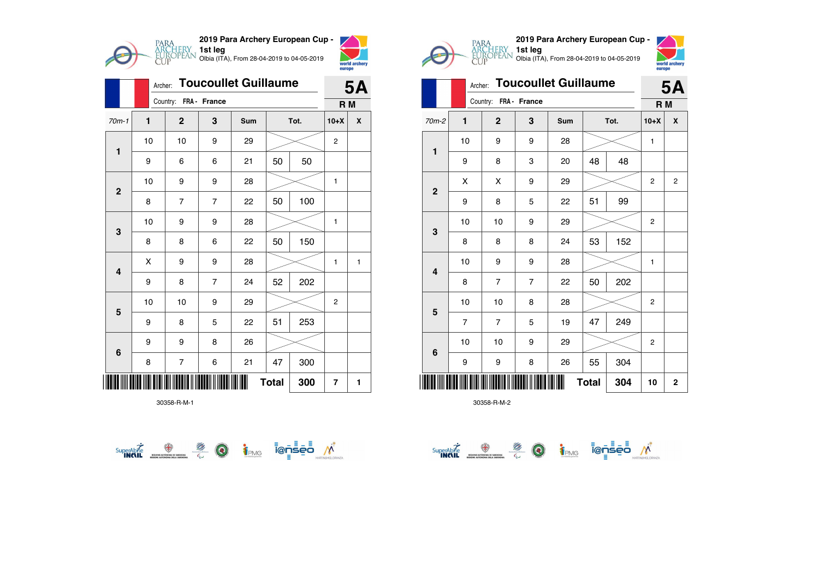

|                         | Archer: | <b>Toucoullet Guillaume</b> |                |     | 5Δ           |      |                |   |
|-------------------------|---------|-----------------------------|----------------|-----|--------------|------|----------------|---|
|                         |         | Country: FRA - France       |                |     |              |      | R <sub>M</sub> |   |
| $70m-1$                 | 1       | $\mathbf 2$                 | 3              | Sum |              | Tot. | $10+X$         | X |
| $\blacksquare$          | 10      | 10                          | 9              | 29  |              |      | $\overline{c}$ |   |
|                         | 9       | 6                           | 6              | 21  | 50           | 50   |                |   |
| $\mathbf 2$             | 10      | 9                           | 9              | 28  |              |      | 1              |   |
|                         | 8       | $\overline{7}$              | $\overline{7}$ | 22  | 50           | 100  |                |   |
| 3                       | 10      | 9                           | 9              | 28  |              |      | 1              |   |
|                         | 8       | 8                           | 6              | 22  | 50           | 150  |                |   |
| $\overline{\mathbf{4}}$ | x       | 9                           | 9              | 28  |              |      | 1              | 1 |
|                         | 9       | 8                           | $\overline{7}$ | 24  | 52           | 202  |                |   |
| 5                       | 10      | 10                          | 9              | 29  |              |      | $\overline{2}$ |   |
|                         | 9       | 8                           | 5              | 22  | 51           | 253  |                |   |
| 6                       | 9       | 9                           | 8              | 26  |              |      |                |   |
|                         | 8       | $\overline{\mathcal{I}}$    | 6              | 21  | 47           | 300  |                |   |
|                         |         |                             |                |     | <b>Total</b> | 300  | 7              | 1 |

SuperAbile <del>O</del> & O j<sub>ews</sub> longled N







|                         | Archer:        | <b>Toucoullet Guillaume</b> |                |     | <b>5A</b>    |      |                |                |
|-------------------------|----------------|-----------------------------|----------------|-----|--------------|------|----------------|----------------|
|                         |                | Country: FRA - France       |                |     |              |      | R <sub>M</sub> |                |
| 70m-2                   | 1              | $\mathbf{2}$                | 3              | Sum |              | Tot. | $10+X$         | X              |
| 1                       | 10             | 9                           | 9              | 28  |              |      | 1              |                |
|                         | 9              | 8                           | 3              | 20  | 48           | 48   |                |                |
| $\mathbf 2$             | X              | x                           | 9              | 29  |              |      | $\overline{2}$ | $\overline{2}$ |
|                         | 9              | 8                           | 5              | 22  | 51           | 99   |                |                |
| 3                       | 10             | 10                          | 9              | 29  |              |      | $\overline{c}$ |                |
|                         | 8              | 8                           | 8              | 24  | 53           | 152  |                |                |
| $\overline{\mathbf{4}}$ | 10             | 9                           | 9              | 28  |              |      | $\mathbf{1}$   |                |
|                         | 8              | $\overline{7}$              | $\overline{7}$ | 22  | 50           | 202  |                |                |
| 5                       | 10             | 10                          | 8              | 28  |              |      | $\overline{c}$ |                |
|                         | $\overline{7}$ | $\overline{7}$              | 5              | 19  | 47           | 249  |                |                |
| 6                       | 10             | 10                          | 9              | 29  |              |      | $\overline{2}$ |                |
|                         | 9              | 9                           | 8              | 26  | 55           | 304  |                |                |
|                         |                |                             |                |     | <b>Total</b> | 304  | 10             | $\mathbf 2$    |

SuperAbile <del>O</del> & O j<sub>ews</sub> longled in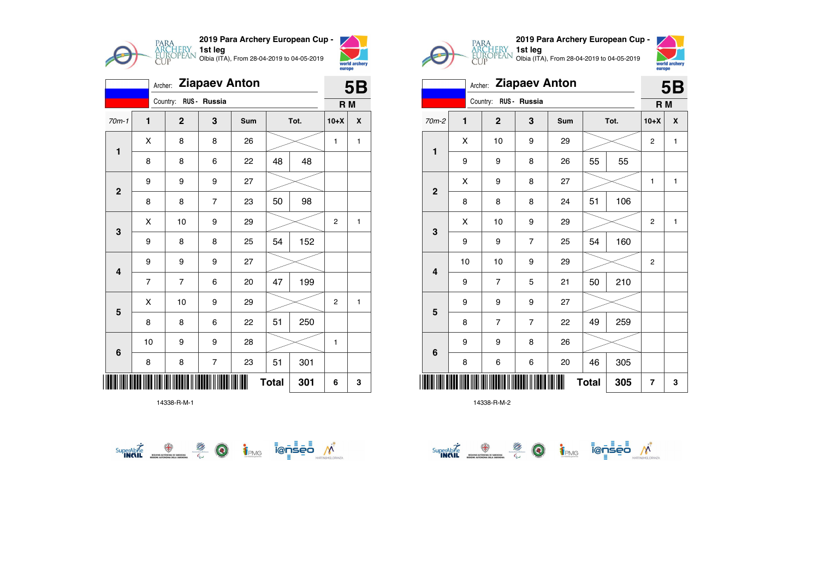

|                         | <b>Ziapaev Anton</b><br>Archer: |                       |                          |     |    |      |                |              |  |
|-------------------------|---------------------------------|-----------------------|--------------------------|-----|----|------|----------------|--------------|--|
|                         |                                 | Country: RUS - Russia |                          |     |    |      | R <sub>M</sub> |              |  |
| $70m-1$                 | $\mathbf{1}$                    | $\mathbf 2$           | 3                        | Sum |    | Tot. | $10+X$         | X            |  |
| $\mathbf{1}$            | X                               | 8                     | 8                        | 26  |    |      | $\mathbf{1}$   | $\mathbf{1}$ |  |
|                         | 8                               | 8                     | 6                        | 22  | 48 | 48   |                |              |  |
| $\mathbf 2$             | 9                               | 9                     | 9                        | 27  |    |      |                |              |  |
|                         | 8                               | 8                     | $\overline{7}$           | 23  | 50 | 98   |                |              |  |
| 3                       | X                               | 10                    | 9                        | 29  |    |      | $\overline{2}$ | 1            |  |
|                         | 9                               | 8                     | 8                        | 25  | 54 | 152  |                |              |  |
| $\overline{\mathbf{4}}$ | 9                               | 9                     | 9                        | 27  |    |      |                |              |  |
|                         | $\overline{7}$                  | $\overline{7}$        | 6                        | 20  | 47 | 199  |                |              |  |
| 5                       | X                               | 10                    | 9                        | 29  |    |      | $\overline{c}$ | $\mathbf{1}$ |  |
|                         | 8                               | 8                     | 6                        | 22  | 51 | 250  |                |              |  |
| 6                       | 10                              | 9                     | 9                        | 28  |    |      | $\mathbf{1}$   |              |  |
|                         | 8                               | 8                     | $\overline{\mathcal{I}}$ | 23  | 51 | 301  |                |              |  |
| <b>Total</b><br>301     |                                 |                       |                          |     |    |      | 6              | 3            |  |



Superabite <del>O</del> & O j<sub>ews</sub> lopesed N'





europe



**SuperADIC <del>O</del>** 2 O j<sub>ems</sub> jo<del>n</del>sed *N*<sup>\*</sup>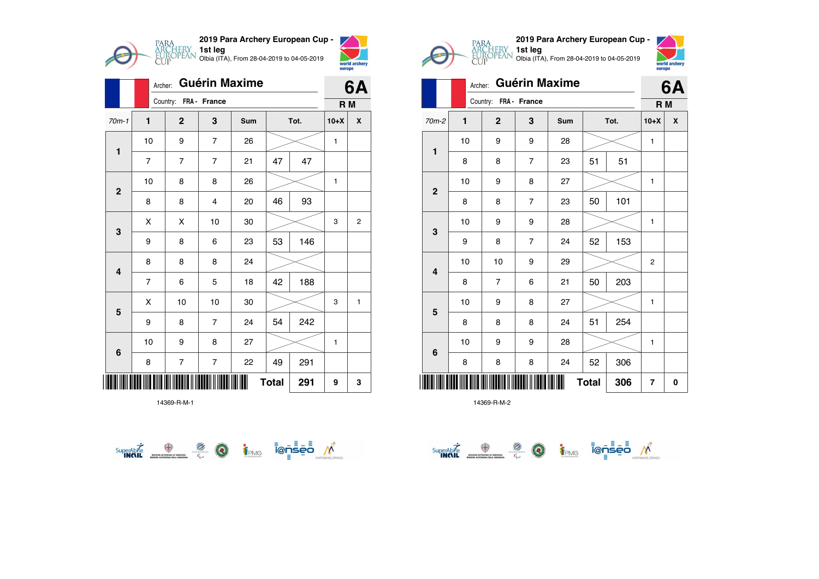

|              |                | <b>Guérin Maxime</b><br>Archer: |                |     |              |      |                |                |
|--------------|----------------|---------------------------------|----------------|-----|--------------|------|----------------|----------------|
|              |                | Country: FRA - France           |                |     |              |      | R <sub>M</sub> |                |
| $70m-1$      | 1              | $\mathbf 2$                     | 3              | Sum |              | Tot. | $10+X$         | X              |
|              | 10             | 9                               | $\overline{7}$ | 26  |              |      | $\mathbf{1}$   |                |
| 1            | $\overline{7}$ | 7                               | $\overline{7}$ | 21  | 47           | 47   |                |                |
| $\mathbf{2}$ | 10             | 8                               | 8              | 26  |              |      | 1              |                |
|              | 8              | 8                               | $\overline{4}$ | 20  | 46           | 93   |                |                |
| 3            | Χ              | X                               | 10             | 30  |              |      | 3              | $\overline{2}$ |
|              | 9              | 8                               | 6              | 23  | 53           | 146  |                |                |
| 4            | 8              | 8                               | 8              | 24  |              |      |                |                |
|              | $\overline{7}$ | 6                               | 5              | 18  | 42           | 188  |                |                |
| 5            | x              | 10                              | 10             | 30  |              |      | 3              | $\mathbf{1}$   |
|              | 9              | 8                               | $\overline{7}$ | 24  | 54           | 242  |                |                |
| 6            | 10             | 9                               | 8              | 27  |              |      | $\mathbf{1}$   |                |
|              | 8              | $\overline{\mathcal{I}}$        | $\overline{7}$ | 22  | 49           | 291  |                |                |
|              |                |                                 |                |     | <b>Total</b> | 291  | 9              | 3              |







Superabre <del>C</del> & O j<sub>ews</sub> jer<mark>isée *n*°</mark>

Superabile <del>The Second Service</del> of the superior of the second terms in the second terms of the second terms in the second terms in the second terms in the second terms in the second terms in the second second terms in the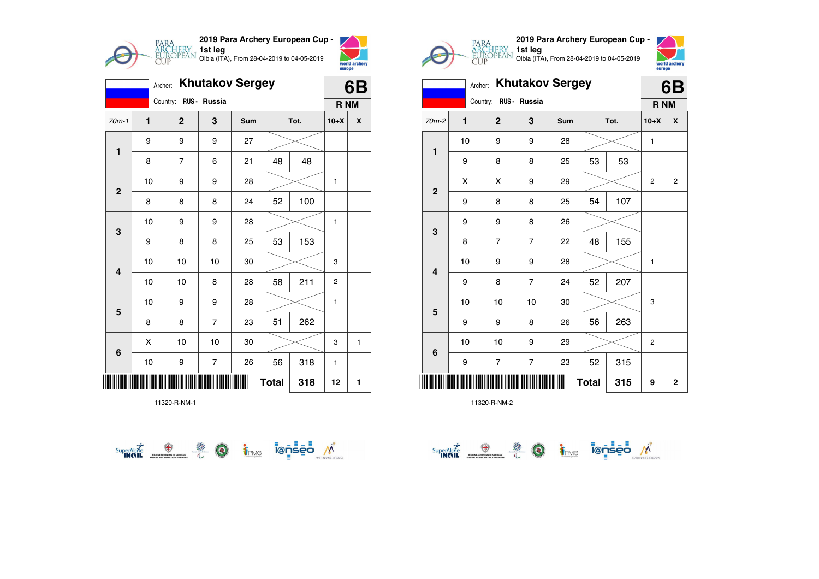

|             | <b>Khutakov Sergey</b><br>Archer: |  |                       |                          |     |              |      |                | 6B |
|-------------|-----------------------------------|--|-----------------------|--------------------------|-----|--------------|------|----------------|----|
|             |                                   |  | Country: RUS - Russia |                          |     |              |      | <b>RNM</b>     |    |
| $70m-1$     | $\mathbf{1}$                      |  | $\mathbf 2$           | 3                        | Sum |              | Tot. | $10+X$         | X  |
| 1           | 9                                 |  | 9                     | 9                        | 27  |              |      |                |    |
|             | 8                                 |  | $\overline{7}$        | 6                        | 21  | 48           | 48   |                |    |
| $\mathbf 2$ | 10                                |  | 9                     | 9                        | 28  |              |      | $\mathbf{1}$   |    |
|             | 8                                 |  | 8                     | 8                        | 24  | 52           | 100  |                |    |
| 3           | 10                                |  | 9                     | 9                        | 28  |              |      | 1              |    |
|             | 9                                 |  | 8                     | 8                        | 25  | 53           | 153  |                |    |
| 4           | 10                                |  | 10                    | 10                       | 30  |              |      | 3              |    |
|             | 10                                |  | 10                    | 8                        | 28  | 58           | 211  | $\overline{2}$ |    |
| 5           | 10                                |  | 9                     | 9                        | 28  |              |      | 1              |    |
|             | 8                                 |  | 8                     | $\overline{7}$           | 23  | 51           | 262  |                |    |
| 6           | X                                 |  | 10                    | 10                       | 30  |              |      | 3              | 1  |
|             | 10                                |  | 9                     | $\overline{\mathcal{I}}$ | 26  | 56           | 318  | 1              |    |
|             |                                   |  |                       |                          |     | <b>Total</b> | 318  | 12             | 1  |



SuperAbile <del>O</del> & O j<sub>ews</sub> longled N





|                         | <b>Khutakov Sergey</b><br>Archer: |                |                |     |              |      |                |                |  |
|-------------------------|-----------------------------------|----------------|----------------|-----|--------------|------|----------------|----------------|--|
|                         |                                   | Country:       | RUS - Russia   |     |              |      | <b>RNM</b>     |                |  |
| 70m-2                   | 1                                 | $\overline{2}$ | 3              | Sum |              | Tot. | $10+X$         | X              |  |
|                         | 10                                | 9              | 9              | 28  |              |      | 1              |                |  |
| 1                       | 9                                 | 8              | 8              | 25  | 53           | 53   |                |                |  |
|                         | x                                 | x              | 9              | 29  |              |      | $\overline{2}$ | $\overline{2}$ |  |
| $\mathbf 2$             | 9                                 | 8              | 8              | 25  | 54           | 107  |                |                |  |
| 3                       | 9                                 | 9              | 8              | 26  |              |      |                |                |  |
|                         | 8                                 | $\overline{7}$ | $\overline{7}$ | 22  | 48           | 155  |                |                |  |
| $\overline{\mathbf{4}}$ | 10                                | 9              | 9              | 28  |              |      | 1              |                |  |
|                         | 9                                 | 8              | $\overline{7}$ | 24  | 52           | 207  |                |                |  |
| $5\phantom{1}$          | 10                                | 10             | 10             | 30  |              |      | 3              |                |  |
|                         | 9                                 | 9              | 8              | 26  | 56           | 263  |                |                |  |
|                         | 10                                | 10             | 9              | 29  |              |      | $\overline{c}$ |                |  |
| 6                       | 9                                 | $\overline{7}$ | $\overline{7}$ | 23  | 52           | 315  |                |                |  |
|                         |                                   |                |                |     | <b>Total</b> | 315  | 9              | $\overline{2}$ |  |

SuperAbile <del>O</del> & O j<sub>ews</sub> longled in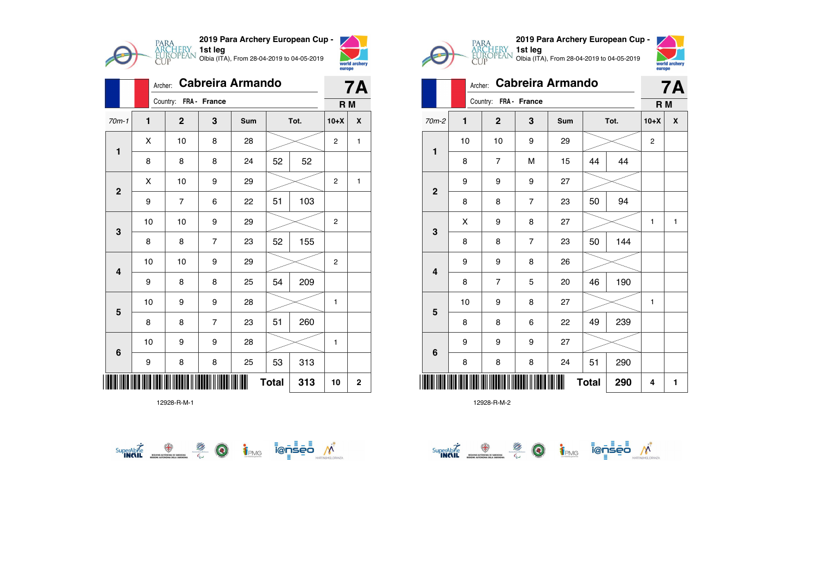

|                         |              | <b>Cabreira Armando</b><br>Archer: |                |     | <b>7A</b>    |      |                |              |
|-------------------------|--------------|------------------------------------|----------------|-----|--------------|------|----------------|--------------|
|                         |              | Country: FRA - France              |                |     |              |      | R <sub>M</sub> |              |
| $70m-1$                 | $\mathbf{1}$ | $\mathbf 2$                        | 3              | Sum |              | Tot. | $10+X$         | X            |
| 1                       | x            | 10                                 | 8              | 28  |              |      | $\overline{2}$ | $\mathbf{1}$ |
|                         | 8            | 8                                  | 8              | 24  | 52           | 52   |                |              |
| $\overline{\mathbf{2}}$ | X            | 10                                 | 9              | 29  |              |      | 2              | 1            |
|                         | 9            | $\overline{7}$                     | 6              | 22  | 51           | 103  |                |              |
| 3                       | 10           | 10                                 | 9              | 29  |              |      | $\overline{2}$ |              |
|                         | 8            | 8                                  | $\overline{7}$ | 23  | 52           | 155  |                |              |
| $\overline{\mathbf{4}}$ | $10$         | 10                                 | 9              | 29  |              |      | 2              |              |
|                         | 9            | 8                                  | 8              | 25  | 54           | 209  |                |              |
| 5                       | 10           | 9                                  | 9              | 28  |              |      | 1              |              |
|                         | 8            | 8                                  | $\overline{7}$ | 23  | 51           | 260  |                |              |
| 6                       | 10           | 9                                  | 9              | 28  |              |      | 1              |              |
|                         | 9            | 8                                  | 8              | 25  | 53           | 313  |                |              |
|                         |              |                                    |                |     | <b>Total</b> | 313  | 10             | $\mathbf 2$  |





|                         |                | <b>Cabreira Armando</b><br>Archer: |                |     |              |      |                |   |  |
|-------------------------|----------------|------------------------------------|----------------|-----|--------------|------|----------------|---|--|
|                         |                | Country: FRA - France              |                |     |              |      | R <sub>M</sub> |   |  |
| 70m-2                   | $\blacksquare$ | $\mathbf{2}$                       | 3              | Sum |              | Tot. | $10+X$         | X |  |
| 1                       | 10             | 10                                 | 9              | 29  |              |      | $\mathbf{2}$   |   |  |
|                         | 8              | $\overline{7}$                     | M              | 15  | 44           | 44   |                |   |  |
| $\overline{2}$          | 9              | 9                                  | 9              | 27  |              |      |                |   |  |
|                         | 8              | 8                                  | $\overline{7}$ | 23  | 50           | 94   |                |   |  |
| 3                       | X              | 9                                  | 8              | 27  |              |      | 1              | 1 |  |
|                         | 8              | 8                                  | $\overline{7}$ | 23  | 50           | 144  |                |   |  |
| $\overline{\mathbf{4}}$ | 9              | 9                                  | 8              | 26  |              |      |                |   |  |
|                         | 8              | $\overline{7}$                     | 5              | 20  | 46           | 190  |                |   |  |
| 5                       | 10             | 9                                  | 8              | 27  |              |      | 1              |   |  |
|                         | 8              | 8                                  | 6              | 22  | 49           | 239  |                |   |  |
| 6                       | 9              | 9                                  | 9              | 27  |              |      |                |   |  |
|                         | 8              | 8                                  | 8              | 24  | 51           | 290  |                |   |  |
| ║║║                     |                |                                    |                |     | <b>Total</b> | 290  | 4              | 1 |  |

SuperAbile <del>O</del> & O j<sub>ews</sub> longled in

12928-R-M-2

SuperAbile <del>O</del> & O j<sub>ews</sub> longled N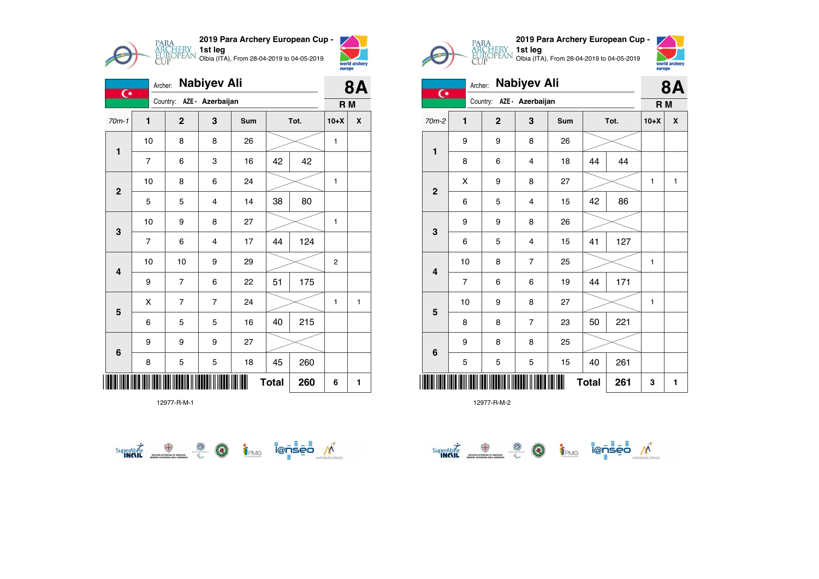

| $\overline{C}$          | Archer:        |                           | <b>8A</b>      |     |              |      |                |              |
|-------------------------|----------------|---------------------------|----------------|-----|--------------|------|----------------|--------------|
|                         |                | Country: AZE - Azerbaijan |                |     |              |      | R <sub>M</sub> |              |
| $70m-1$                 | $\mathbf{1}$   | $\mathbf 2$               | 3              | Sum |              | Tot. | $10+X$         | X            |
| $\blacksquare$          | 10             | 8                         | 8              | 26  |              |      | 1              |              |
|                         | $\overline{7}$ | 6                         | 3              | 16  | 42           | 42   |                |              |
| $\mathbf{2}$            | 10             | 8                         | 6              | 24  |              |      | 1              |              |
|                         | 5              | 5                         | 4              | 14  | 38           | 80   |                |              |
| 3                       | 10             | 9                         | 8              | 27  |              |      | 1              |              |
|                         | $\overline{7}$ | 6                         | 4              | 17  | 44           | 124  |                |              |
| $\overline{\mathbf{4}}$ | 10             | 10                        | 9              | 29  |              |      | 2              |              |
|                         | 9              | $\overline{7}$            | 6              | 22  | 51           | 175  |                |              |
| 5                       | X              | $\overline{7}$            | $\overline{7}$ | 24  |              |      | 1              | $\mathbf{1}$ |
|                         | 6              | 5                         | 5              | 16  | 40           | 215  |                |              |
| 6                       | 9              | 9                         | 9              | 27  |              |      |                |              |
|                         | 8              | 5                         | 5              | 18  | 45           | 260  |                |              |
|                         |                |                           |                |     | <b>Total</b> | 260  | 6              | 1            |







Superabile <del>The Second Service</del> of the superior of the second terms in the second terms of the second terms in the second terms in the second terms in the second terms in the second terms in the second second terms in the

12977-R-M-1

Superabre <del>C</del> & O j<sub>ews</sub> jer<mark>isée *n*°</mark>

europe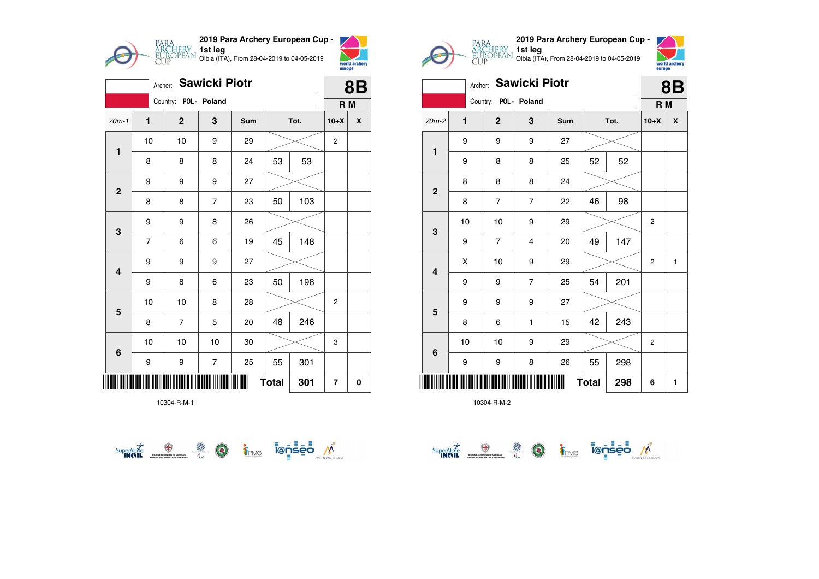

|              | <b>Sawicki Piotr</b><br>Archer: |                      |                          |     |              |      |                |   |  |
|--------------|---------------------------------|----------------------|--------------------------|-----|--------------|------|----------------|---|--|
|              |                                 | Country: POL- Poland |                          |     |              |      | R <sub>M</sub> |   |  |
| $70m-1$      | $\mathbf{1}$                    | $\mathbf 2$          | 3                        | Sum |              | Tot. | $10+X$         | X |  |
| $\mathbf{1}$ | 10                              | 10                   | 9                        | 29  |              |      | $\overline{2}$ |   |  |
|              | 8                               | 8                    | 8                        | 24  | 53           | 53   |                |   |  |
| $\mathbf 2$  | 9                               | 9                    | 9                        | 27  |              |      |                |   |  |
|              | 8                               | 8                    | $\overline{7}$           | 23  | 50           | 103  |                |   |  |
| 3            | 9                               | 9                    | 8                        | 26  |              |      |                |   |  |
|              | $\overline{7}$                  | 6                    | 6                        | 19  | 45           | 148  |                |   |  |
| 4            | 9                               | 9                    | 9                        | 27  |              |      |                |   |  |
|              | 9                               | 8                    | 6                        | 23  | 50           | 198  |                |   |  |
| 5            | 10                              | 10                   | 8                        | 28  |              |      | $\overline{c}$ |   |  |
|              | 8                               | 7                    | 5                        | 20  | 48           | 246  |                |   |  |
| 6            | 10                              | 10                   | 10                       | 30  |              |      | 3              |   |  |
|              | 9                               | 9                    | $\overline{\mathcal{I}}$ | 25  | 55           | 301  |                |   |  |
|              |                                 |                      |                          |     | <b>Total</b> | 301  | 7              | 0 |  |





|                         | <b>Sawicki Piotr</b><br>Archer: |                       |                |     |              |      |                |              |
|-------------------------|---------------------------------|-----------------------|----------------|-----|--------------|------|----------------|--------------|
|                         |                                 | Country: POL - Poland |                |     |              |      | R <sub>M</sub> |              |
| 70m-2                   | 1                               | $\mathbf 2$           | 3              | Sum |              | Tot. | $10+X$         | X            |
| $\mathbf{1}$            | 9                               | 9                     | 9              | 27  |              |      |                |              |
|                         | 9                               | 8                     | 8              | 25  | 52           | 52   |                |              |
| $\mathbf 2$             | 8                               | 8                     | 8              | 24  |              |      |                |              |
|                         | 8                               | $\overline{7}$        | $\overline{7}$ | 22  | 46           | 98   |                |              |
| ${\bf 3}$               | 10                              | 10                    | 9              | 29  |              |      | $\overline{2}$ |              |
|                         | 9                               | $\overline{7}$        | 4              | 20  | 49           | 147  |                |              |
| $\overline{\mathbf{4}}$ | Χ                               | $10$                  | 9              | 29  |              |      | $\overline{2}$ | $\mathbf{1}$ |
|                         | 9                               | 9                     | $\overline{7}$ | 25  | 54           | 201  |                |              |
| 5                       | 9                               | 9                     | 9              | 27  |              |      |                |              |
|                         | 8                               | 6                     | $\mathbf{1}$   | 15  | 42           | 243  |                |              |
| 6                       | 10                              | 10                    | 9              | 29  |              |      | $\overline{c}$ |              |
|                         | 9                               | 9                     | 8              | 26  | 55           | 298  |                |              |
|                         |                                 |                       |                |     | <b>Total</b> | 298  | 6              | 1            |

10304-R-M-2

SuperAbite <del>O</del> & O j<sub>ews</sub> longled N

SuperAbile <del>O</del> & O j<sub>ews</sub> longled in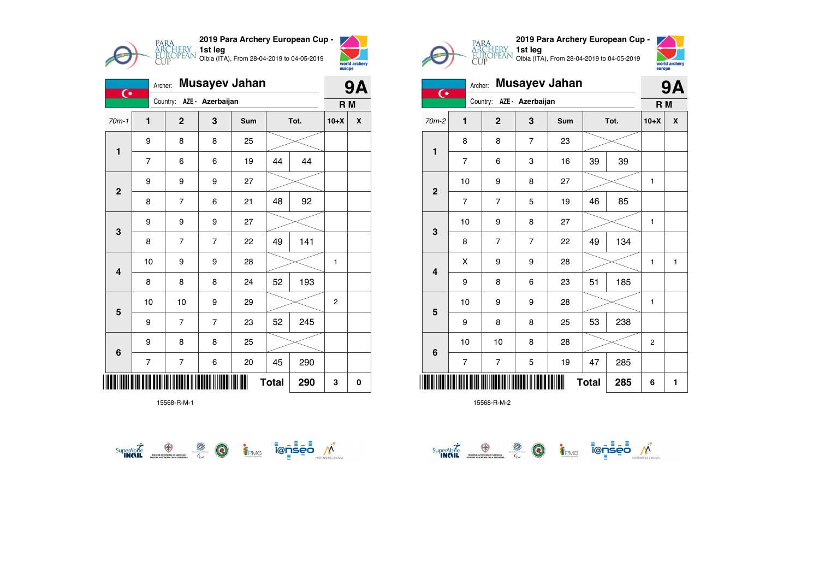

| $\overline{C}$          |                | Musayev Jahan<br>Archer:  |                |     |              |      |                | 9Δ |  |  |
|-------------------------|----------------|---------------------------|----------------|-----|--------------|------|----------------|----|--|--|
|                         |                | Country: AZE - Azerbaijan |                |     |              |      | R <sub>M</sub> |    |  |  |
| $70m-1$                 | $\mathbf{1}$   | $\mathbf 2$               | 3              | Sum |              | Tot. | $10+X$         | X  |  |  |
| $\mathbf{1}$            | 9              | 8                         | 8              | 25  |              |      |                |    |  |  |
|                         | $\overline{7}$ | 6                         | 6              | 19  | 44           | 44   |                |    |  |  |
| $\mathbf{2}$            | 9              | 9                         | 9              | 27  |              |      |                |    |  |  |
|                         | 8              | $\overline{7}$            | 6              | 21  | 48           | 92   |                |    |  |  |
| 3                       | 9              | 9                         | 9              | 27  |              |      |                |    |  |  |
|                         | 8              | 7                         | $\overline{7}$ | 22  | 49           | 141  |                |    |  |  |
| $\overline{\mathbf{4}}$ | 10             | 9                         | 9              | 28  |              |      | 1              |    |  |  |
|                         | 8              | 8                         | 8              | 24  | 52           | 193  |                |    |  |  |
| 5                       | 10             | 10                        | 9              | 29  |              |      | $\overline{c}$ |    |  |  |
|                         | 9              | $\overline{7}$            | $\overline{7}$ | 23  | 52           | 245  |                |    |  |  |
| 6                       | 9              | 8                         | 8              | 25  |              |      |                |    |  |  |
|                         | $\overline{7}$ | $\overline{7}$            | 6              | 20  | 45           | 290  |                |    |  |  |
| Ш                       |                |                           |                |     | <b>Total</b> | 290  | 3              | 0  |  |  |





|                 | Musayev Jahan<br>Archer:<br>$\overline{C}$ |                           |                |     |              |      |                | 9Α           |
|-----------------|--------------------------------------------|---------------------------|----------------|-----|--------------|------|----------------|--------------|
|                 |                                            | Country: AZE - Azerbaijan |                |     |              |      | R <sub>M</sub> |              |
| 70m-2           | 1                                          | $\mathbf{2}$              | 3              | Sum |              | Tot. | $10+X$         | X            |
|                 | 8                                          | 8                         | $\overline{7}$ | 23  |              |      |                |              |
| $\mathbf{1}$    | $\overline{7}$                             | 6                         | 3              | 16  | 39           | 39   |                |              |
|                 | 10                                         | 9                         | 8              | 27  |              |      | $\mathbf{1}$   |              |
| $\mathbf 2$     | $\overline{7}$                             | $\overline{7}$            | 5              | 19  | 46           | 85   |                |              |
| 3               | 10                                         | 9                         | 8              | 27  |              |      | 1              |              |
|                 | 8                                          | $\overline{7}$            | $\overline{7}$ | 22  | 49           | 134  |                |              |
| 4               | Χ                                          | 9                         | 9              | 28  |              |      | 1              | $\mathbf{1}$ |
|                 | 9                                          | 8                         | 6              | 23  | 51           | 185  |                |              |
|                 | 10                                         | 9                         | 9              | 28  |              |      | 1              |              |
| 5               | 9                                          | 8                         | 8              | 25  | 53           | 238  |                |              |
|                 | 10                                         | 10                        | 8              | 28  |              |      | $\overline{2}$ |              |
| $6\phantom{1}6$ | 7                                          | 7                         | 5              | 19  | 47           | 285  |                |              |
|                 |                                            |                           |                |     | <b>Total</b> | 285  | 6              | 1            |

15568-R-M-2

SuperAbile <del>O</del> & O j<sub>ews</sub> longled N

SuperAbile <del>O</del> & O j<sub>ews</sub> longled in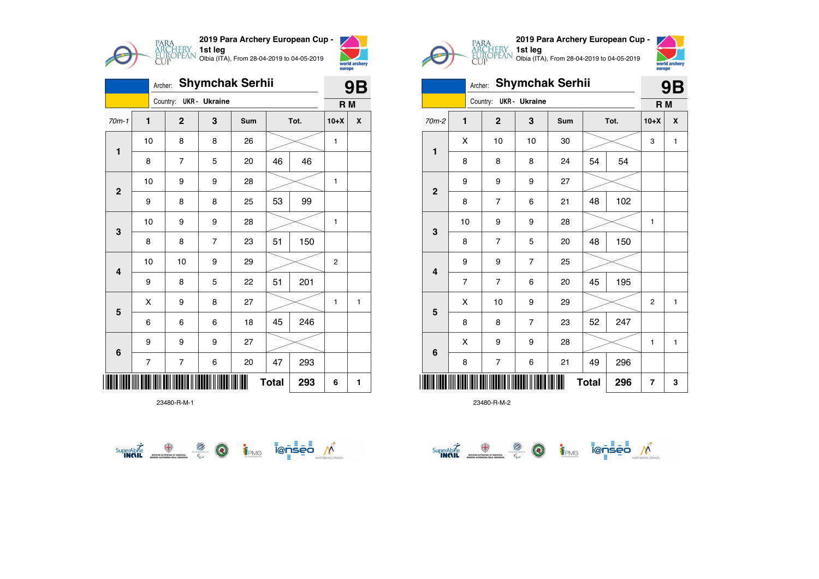

|                         | <b>Shymchak Serhii</b><br>Archer: |                          |                     |     |              |      |                |                    |
|-------------------------|-----------------------------------|--------------------------|---------------------|-----|--------------|------|----------------|--------------------|
|                         |                                   | Country:                 | <b>UKR-</b> Ukraine |     |              |      | R <sub>M</sub> |                    |
| $70m-1$                 | $\mathbf{1}$                      | $\mathbf 2$              | 3                   | Sum |              | Tot. | $10+X$         | $\pmb{\mathsf{X}}$ |
| $\blacksquare$          | 10                                | 8                        | 8                   | 26  |              |      | $\mathbf{1}$   |                    |
|                         | 8                                 | $\overline{7}$           | 5                   | 20  | 46           | 46   |                |                    |
| $\mathbf{2}$            | 10                                | 9                        | 9                   | 28  |              |      | $\mathbf{1}$   |                    |
|                         | 9                                 | 8                        | 8                   | 25  | 53           | 99   |                |                    |
| 3                       | 10                                | 9                        | 9                   | 28  |              |      | $\mathbf{1}$   |                    |
|                         | 8                                 | 8                        | 7                   | 23  | 51           | 150  |                |                    |
| $\overline{\mathbf{4}}$ | 10                                | 10                       | 9                   | 29  |              |      | 2              |                    |
|                         | 9                                 | 8                        | 5                   | 22  | 51           | 201  |                |                    |
| 5                       | X                                 | 9                        | 8                   | 27  |              |      | $\mathbf{1}$   | $\mathbf{1}$       |
|                         | 6                                 | 6                        | 6                   | 18  | 45           | 246  |                |                    |
| 6                       | 9                                 | 9                        | 9                   | 27  |              |      |                |                    |
|                         | $\overline{\mathcal{I}}$          | $\overline{\mathcal{I}}$ | 6                   | 20  | 47           | 293  |                |                    |
|                         |                                   |                          |                     |     | <b>Total</b> | 293  | 6              | 1                  |

SuperAbile <del>O</del> & O j<sub>ews</sub> longled N



**2019 Para Archery European Cup - 1st leg** Olbia (ITA), From 28-04-2019 to 04-05-2019



| <b>Shymchak Serhii</b><br>Archer: |    |  |                |                     |     |              |      | <b>9B</b>      |              |
|-----------------------------------|----|--|----------------|---------------------|-----|--------------|------|----------------|--------------|
|                                   |    |  | Country:       | <b>UKR-</b> Ukraine |     |              |      | R <sub>M</sub> |              |
| $70m-2$                           | 1  |  | $\mathbf{2}$   | 3                   | Sum |              | Tot. | $10+X$         | X            |
| 1                                 | X  |  | 10             | 10                  | 30  |              |      | 3              | $\mathbf{1}$ |
|                                   | 8  |  | 8              | 8                   | 24  | 54           | 54   |                |              |
| $\overline{2}$                    | 9  |  | 9              | 9                   | 27  |              |      |                |              |
|                                   | 8  |  | $\overline{7}$ | 6                   | 21  | 48           | 102  |                |              |
| 3                                 | 10 |  | 9              | 9                   | 28  |              |      | 1              |              |
|                                   | 8  |  | $\overline{7}$ | 5                   | 20  | 48           | 150  |                |              |
| $\overline{\mathbf{4}}$           | 9  |  | 9              | $\overline{7}$      | 25  |              |      |                |              |
|                                   | 7  |  | $\overline{7}$ | 6                   | 20  | 45           | 195  |                |              |
| 5                                 | X  |  | 10             | 9                   | 29  |              |      | $\overline{c}$ | $\mathbf{1}$ |
|                                   | 8  |  | 8              | $\overline{7}$      | 23  | 52           | 247  |                |              |
| 6                                 | X  |  | 9              | 9                   | 28  |              |      | 1              | $\mathbf{1}$ |
|                                   | 8  |  | 7              | 6                   | 21  | 49           | 296  |                |              |
| ║║                                |    |  |                |                     |     | <b>Total</b> | 296  | 7              | 3            |

SuperAbile <del>O</del> & O j<sub>ews</sub> longled in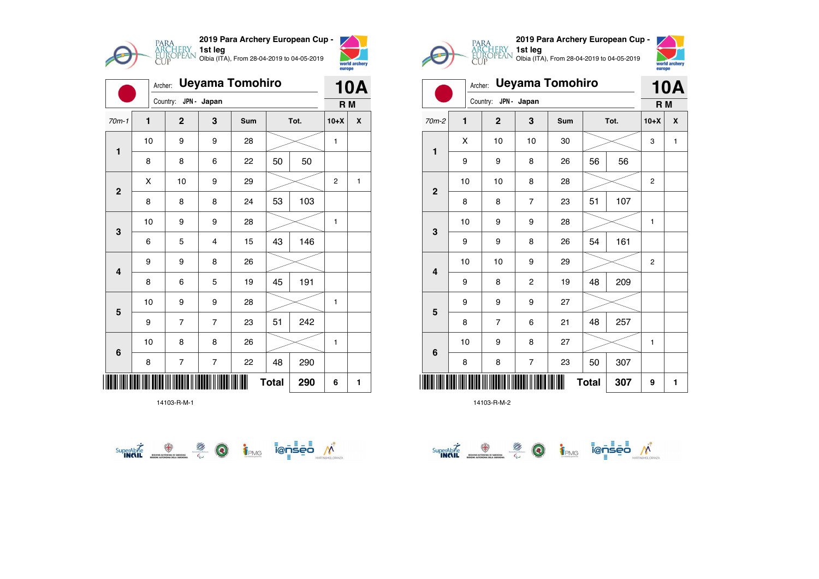

| <b>Ueyama Tomohiro</b><br>Archer: |              |                      |                |     |              |      |                | <b>10A</b> |
|-----------------------------------|--------------|----------------------|----------------|-----|--------------|------|----------------|------------|
|                                   |              | Country: JPN - Japan |                |     |              |      | R <sub>M</sub> |            |
| $70m-1$                           | $\mathbf{1}$ | $\mathbf 2$          | 3              | Sum |              | Tot. | $10+X$         | X          |
| $\mathbf{1}$                      | 10           | 9                    | 9              | 28  |              |      | 1              |            |
|                                   | 8            | 8                    | 6              | 22  | 50           | 50   |                |            |
| $\mathbf{2}$                      | X            | 10                   | 9              | 29  |              |      | 2              | 1          |
|                                   | 8            | 8                    | 8              | 24  | 53           | 103  |                |            |
| 3                                 | 10           | 9                    | 9              | 28  |              |      | 1              |            |
|                                   | 6            | 5                    | 4              | 15  | 43           | 146  |                |            |
| $\overline{\mathbf{4}}$           | 9            | 9                    | 8              | 26  |              |      |                |            |
|                                   | 8            | 6                    | 5              | 19  | 45           | 191  |                |            |
| 5                                 | 10           | 9                    | 9              | 28  |              |      | 1              |            |
|                                   | 9            | 7                    | 7              | 23  | 51           | 242  |                |            |
| 6                                 | 10           | 8                    | 8              | 26  |              |      | 1              |            |
|                                   | 8            | $\overline{7}$       | $\overline{7}$ | 22  | 48           | 290  |                |            |
|                                   |              |                      |                |     | <b>Total</b> | 290  | 6              | 1          |



SuperAbite <del>O</del> & O j<sub>ews</sub> longled N







|              | Archer: |                      | <b>10A</b>     |            |              |      |                |   |
|--------------|---------|----------------------|----------------|------------|--------------|------|----------------|---|
|              |         | Country: JPN - Japan |                |            |              |      | R <sub>M</sub> |   |
| 70m-2        | 1       | $\overline{2}$       | 3              | <b>Sum</b> |              | Tot. | $10+X$         | X |
| 1            | X       | 10                   | 10             | 30         |              |      | 3              | 1 |
|              | 9       | 9                    | 8              | 26         | 56           | 56   |                |   |
| $\mathbf{2}$ | 10      | 10                   | 8              | 28         |              |      | $\overline{2}$ |   |
|              | 8       | 8                    | $\overline{7}$ | 23         | 51           | 107  |                |   |
| 3            | 10      | 9                    | 9              | 28         |              |      | 1              |   |
|              | 9       | 9                    | 8              | 26         | 54           | 161  |                |   |
| 4            | 10      | 10                   | 9              | 29         |              |      | $\overline{2}$ |   |
|              | 9       | 8                    | $\overline{2}$ | 19         | 48           | 209  |                |   |
| 5            | 9       | 9                    | 9              | 27         |              |      |                |   |
|              | 8       | $\overline{7}$       | 6              | 21         | 48           | 257  |                |   |
| 6            | 10      | 9                    | 8              | 27         |              |      | 1              |   |
|              | 8       | 8                    | $\overline{7}$ | 23         | 50           | 307  |                |   |
| II           |         |                      |                |            | <b>Total</b> | 307  | 9              | 1 |

SuperAbile <del>O</del> & O j<sub>ews</sub> longled in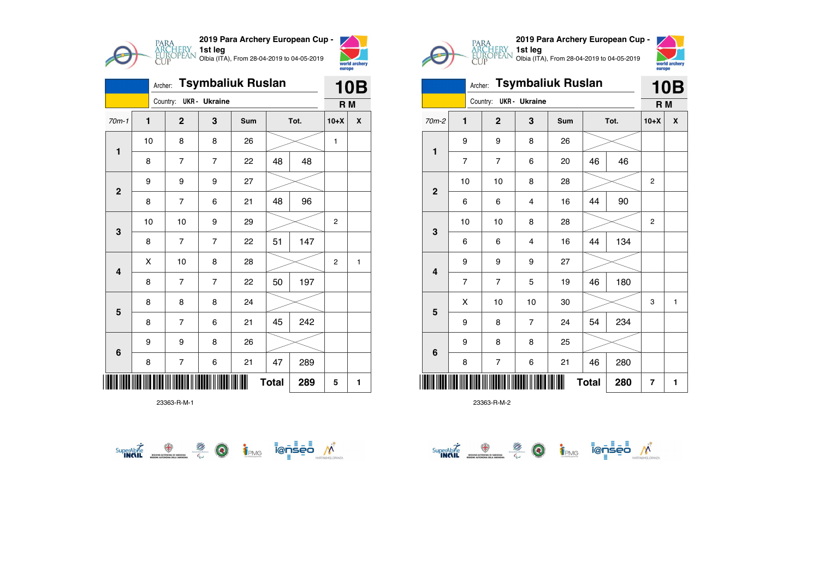

|                         | <b>Tsymbaliuk Ruslan</b><br>Archer: |                          |                      |     |              |      |                |                  |  |
|-------------------------|-------------------------------------|--------------------------|----------------------|-----|--------------|------|----------------|------------------|--|
|                         |                                     | Country:                 | <b>UKR</b> - Ukraine |     |              |      | R <sub>M</sub> |                  |  |
| $70m-1$                 | 1                                   | $\mathbf 2$              | 3                    | Sum |              | Tot. | $10+X$         | $\boldsymbol{x}$ |  |
| $\mathbf{1}$            | 10                                  | 8                        | 8                    | 26  |              |      | 1              |                  |  |
|                         | 8                                   | 7                        | $\overline{7}$       | 22  | 48           | 48   |                |                  |  |
| $\mathbf{2}$            | 9                                   | 9                        | $\boldsymbol{9}$     | 27  |              |      |                |                  |  |
|                         | 8                                   | $\overline{7}$           | 6                    | 21  | 48           | 96   |                |                  |  |
| 3                       | 10                                  | 10                       | 9                    | 29  |              |      | $\overline{c}$ |                  |  |
|                         | 8                                   | $\overline{7}$           | $\overline{7}$       | 22  | 51           | 147  |                |                  |  |
| $\overline{\mathbf{4}}$ | X                                   | 10                       | 8                    | 28  |              |      | $\overline{2}$ | 1                |  |
|                         | 8                                   | $\overline{7}$           | $\overline{7}$       | 22  | 50           | 197  |                |                  |  |
| 5                       | 8                                   | 8                        | 8                    | 24  |              |      |                |                  |  |
|                         | 8                                   | 7                        | 6                    | 21  | 45           | 242  |                |                  |  |
| 6                       | 9                                   | 9                        | 8                    | 26  |              |      |                |                  |  |
|                         | 8                                   | $\overline{\mathcal{I}}$ | 6                    | 21  | 47           | 289  |                |                  |  |
|                         |                                     |                          |                      |     | <b>Total</b> | 289  | 5              | 1                |  |
|                         |                                     |                          |                      |     |              |      |                |                  |  |





| <b>Tsymbaliuk Ruslan</b><br>Archer: |                |  |                        |                |     |              |      | <b>10B</b>     |              |
|-------------------------------------|----------------|--|------------------------|----------------|-----|--------------|------|----------------|--------------|
|                                     |                |  | Country: UKR - Ukraine |                |     |              |      | R <sub>M</sub> |              |
| 70m-2                               | 1              |  | $\mathbf 2$            | 3              | Sum |              | Tot. | $10+X$         | X            |
| 1                                   | 9              |  | 9                      | 8              | 26  |              |      |                |              |
|                                     | 7              |  | $\overline{7}$         | 6              | 20  | 46           | 46   |                |              |
| $\mathbf 2$                         | 10             |  | 10                     | 8              | 28  |              |      | 2              |              |
|                                     | 6              |  | 6                      | $\overline{4}$ | 16  | 44           | 90   |                |              |
| 3                                   | 10             |  | 10                     | 8              | 28  |              |      | $\overline{c}$ |              |
|                                     | 6              |  | 6                      | 4              | 16  | 44           | 134  |                |              |
| 4                                   | 9              |  | 9                      | 9              | 27  |              |      |                |              |
|                                     | $\overline{7}$ |  | $\overline{7}$         | 5              | 19  | 46           | 180  |                |              |
| 5                                   | X              |  | 10                     | 10             | 30  |              |      | 3              | $\mathbf{1}$ |
|                                     | 9              |  | 8                      | $\overline{7}$ | 24  | 54           | 234  |                |              |
| 6                                   | 9              |  | 8                      | 8              | 25  |              |      |                |              |
|                                     | 8              |  | $\overline{7}$         | 6              | 21  | 46           | 280  |                |              |
|                                     |                |  |                        |                |     | <b>Total</b> | 280  | $\overline{7}$ | 1            |

23363-R-M-2

SuperAbite <del>O</del> & O j<sub>ews</sub> longled N

SuperAbile <del>O</del> & O j<sub>ews</sub> longled in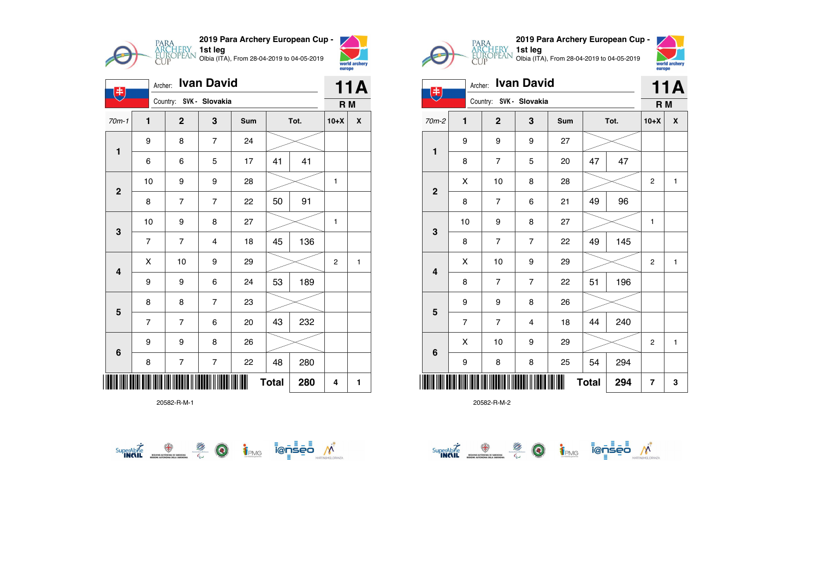

| <b>Ivan David</b><br>Archer:<br>电 |                |                          |                |     |              |      | <b>11A</b>     |   |
|-----------------------------------|----------------|--------------------------|----------------|-----|--------------|------|----------------|---|
|                                   |                | Country: SVK - Slovakia  |                |     |              |      | R <sub>M</sub> |   |
| $70m-1$                           | 1              | $\mathbf 2$              | 3              | Sum |              | Tot. | $10+X$         | X |
| $\blacksquare$                    | 9              | 8                        | $\overline{7}$ | 24  |              |      |                |   |
|                                   | 6              | 6                        | 5              | 17  | 41           | 41   |                |   |
| $\mathbf{2}$                      | 10             | 9                        | 9              | 28  |              |      | 1              |   |
|                                   | 8              | $\overline{7}$           | $\overline{7}$ | 22  | 50           | 91   |                |   |
| 3                                 | 10             | 9                        | 8              | 27  |              |      | $\mathbf{1}$   |   |
|                                   | $\overline{7}$ | 7                        | 4              | 18  | 45           | 136  |                |   |
| 4                                 | Χ              | 10                       | 9              | 29  |              |      | $\overline{2}$ | 1 |
|                                   | 9              | 9                        | 6              | 24  | 53           | 189  |                |   |
| 5                                 | 8              | 8                        | $\overline{7}$ | 23  |              |      |                |   |
|                                   | $\overline{7}$ | $\overline{7}$           | 6              | 20  | 43           | 232  |                |   |
| 6                                 | 9              | 9                        | 8              | 26  |              |      |                |   |
|                                   | 8              | $\overline{\mathcal{I}}$ | $\overline{7}$ | 22  | 48           | 280  |                |   |
|                                   |                |                          |                |     | <b>Total</b> | 280  | 4              | 1 |







SuperAbre <del>C</del> Q j<sub>PMG</sub> jer<mark>ised //</mark>

Superabite <del>of the second of the second of the second of the second second contract the second of the second second second terms of the second second second second second second second second second second second second se</del>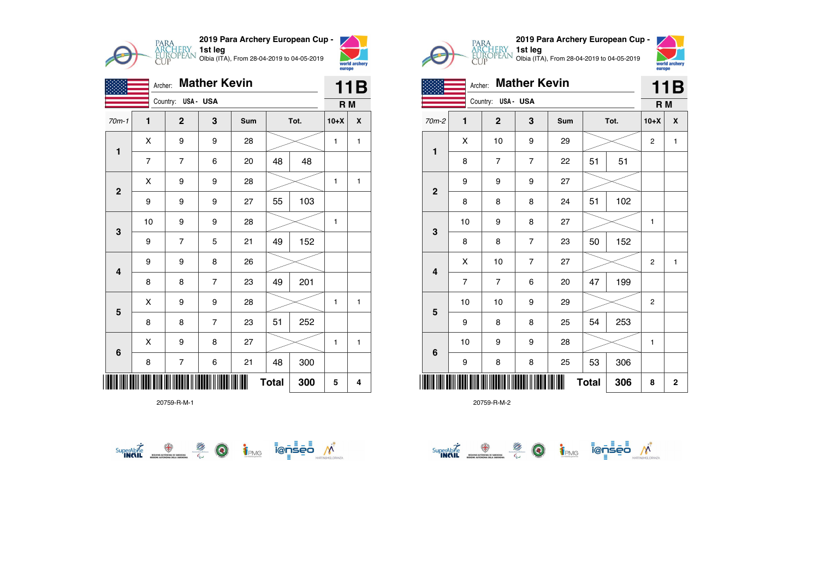

|              |    | <b>Mather Kevin</b><br>Archer: |                |     |              |      |                |              |  |
|--------------|----|--------------------------------|----------------|-----|--------------|------|----------------|--------------|--|
|              |    | Country: USA - USA             |                |     |              |      | R <sub>M</sub> |              |  |
| $70m-1$      | 1  | $\mathbf 2$                    | 3              | Sum |              | Tot. | $10+X$         | X            |  |
| $\mathbf{1}$ | X  | 9                              | 9              | 28  |              |      | 1              | $\mathbf{1}$ |  |
|              | 7  | 7                              | 6              | 20  | 48           | 48   |                |              |  |
| $\mathbf{2}$ | X  | 9                              | 9              | 28  |              |      | 1              | 1            |  |
|              | 9  | 9                              | 9              | 27  | 55           | 103  |                |              |  |
| 3            | 10 | 9                              | 9              | 28  |              |      | 1              |              |  |
|              | 9  | 7                              | 5              | 21  | 49           | 152  |                |              |  |
| 4            | 9  | 9                              | 8              | 26  |              |      |                |              |  |
|              | 8  | 8                              | $\overline{7}$ | 23  | 49           | 201  |                |              |  |
| 5            | X  | 9                              | 9              | 28  |              |      | $\mathbf{1}$   | $\mathbf{1}$ |  |
|              | 8  | 8                              | $\overline{7}$ | 23  | 51           | 252  |                |              |  |
| 6            | X  | 9                              | 8              | 27  |              |      | 1              | $\mathbf{1}$ |  |
|              | 8  | $\overline{\mathcal{I}}$       | 6              | 21  | 48           | 300  |                |              |  |
|              |    |                                |                |     | <b>Total</b> | 300  | 5              | 4            |  |

Superabite <del>of the second of the second of the second of the second second contract the second of the second second second terms of the second second second second second second second second second second second second se</del>





world archery



Superabre <del>C</del> & O j<sub>ews</sub> jer<mark>isée *n*°</mark>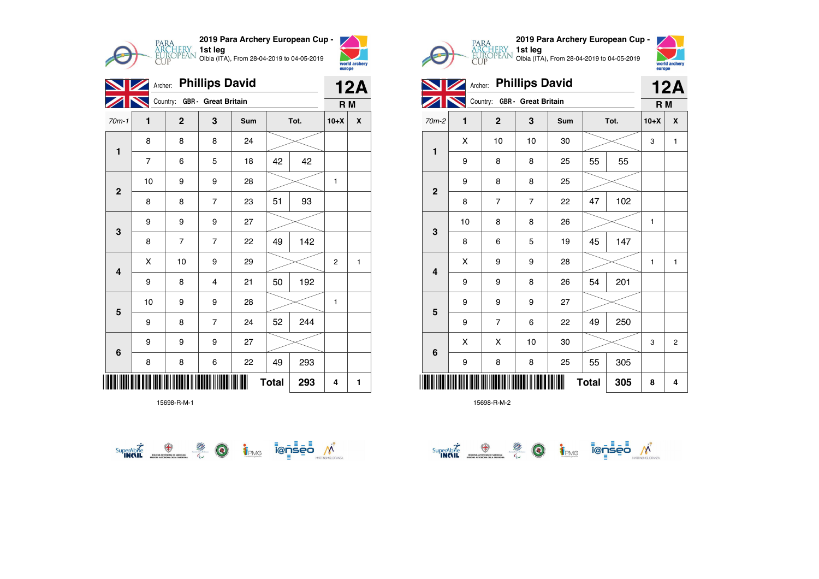

|             | Archer: Phillips David |                              |                | <b>12A</b> |              |      |                |   |
|-------------|------------------------|------------------------------|----------------|------------|--------------|------|----------------|---|
|             |                        | Country: GBR - Great Britain |                |            |              |      | R <sub>M</sub> |   |
| $70m-1$     | $\mathbf{1}$           | $\mathbf{2}$                 | 3              | Sum        |              | Tot. | $10+X$         | X |
| 1           | 8                      | 8                            | 8              | 24         |              |      |                |   |
|             | $\overline{7}$         | 6                            | 5              | 18         | 42           | 42   |                |   |
| $\mathbf 2$ | 10                     | 9                            | 9              | 28         |              |      | $\mathbf{1}$   |   |
|             | 8                      | 8                            | $\overline{7}$ | 23         | 51           | 93   |                |   |
| 3           | 9                      | 9                            | 9              | 27         |              |      |                |   |
|             | 8                      | $\overline{7}$               | $\overline{7}$ | 22         | 49           | 142  |                |   |
| 4           | x                      | 10                           | 9              | 29         |              |      | $\overline{c}$ | 1 |
|             | 9                      | 8                            | $\overline{4}$ | 21         | 50           | 192  |                |   |
| 5           | 10                     | 9                            | 9              | 28         |              |      | $\mathbf{1}$   |   |
|             | 9                      | 8                            | $\overline{7}$ | 24         | 52           | 244  |                |   |
| 6           | 9                      | 9                            | 9              | 27         |              |      |                |   |
|             | 8                      | 8                            | 6              | 22         | 49           | 293  |                |   |
|             |                        |                              |                |            | <b>Total</b> | 293  | 4              | 1 |





world archery



15698-R-M-2

Superabile <del>O</del> & O j<sub>ews</sub> longled N'

15698-R-M-1

**SuperADIC <del>O</del>** 2 O j<sub>ems</sub> jo<del>n</del>sed *N*<sup>\*</sup>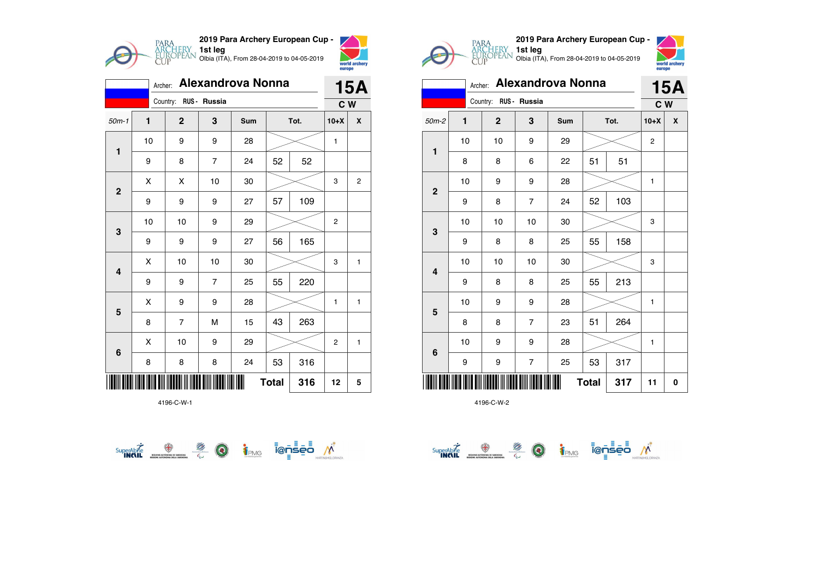

|             | <b>Alexandrova Nonna</b><br>Archer: |                       |                |     |              |      |                |                |  |
|-------------|-------------------------------------|-----------------------|----------------|-----|--------------|------|----------------|----------------|--|
|             |                                     | Country: RUS - Russia |                |     |              |      | C W            |                |  |
| $50m-1$     | 1                                   | $\mathbf 2$           | 3              | Sum |              | Tot. | $10+X$         | X              |  |
| 1           | 10                                  | 9                     | 9              | 28  |              |      | $\mathbf{1}$   |                |  |
|             | 9                                   | 8                     | $\overline{7}$ | 24  | 52           | 52   |                |                |  |
| $\mathbf 2$ | x                                   | X                     | 10             | 30  |              |      | 3              | $\overline{c}$ |  |
|             | 9                                   | 9                     | 9              | 27  | 57           | 109  |                |                |  |
| 3           | 10                                  | 10                    | 9              | 29  |              |      | $\overline{c}$ |                |  |
|             | 9                                   | 9                     | 9              | 27  | 56           | 165  |                |                |  |
| 4           | X                                   | 10                    | 10             | 30  |              |      | 3              | 1              |  |
|             | 9                                   | 9                     | $\overline{7}$ | 25  | 55           | 220  |                |                |  |
| 5           | x                                   | 9                     | 9              | 28  |              |      | 1              | $\mathbf{1}$   |  |
|             | 8                                   | $\overline{7}$        | М              | 15  | 43           | 263  |                |                |  |
| 6           | x                                   | 10                    | 9              | 29  |              |      | $\overline{2}$ | $\mathbf{1}$   |  |
|             | 8                                   | 8                     | 8              | 24  | 53           | 316  |                |                |  |
|             |                                     |                       |                |     | <b>Total</b> | 316  | 12             | 5              |  |







|                         | <b>Alexandrova Nonna</b> | <b>15A</b>            |                          |     |    |      |                |              |
|-------------------------|--------------------------|-----------------------|--------------------------|-----|----|------|----------------|--------------|
|                         |                          | Country: RUS - Russia |                          |     |    |      | C W            |              |
| $50m-2$                 | 1                        | $\mathbf 2$           | 3                        | Sum |    | Tot. | $10+X$         | $\mathbf{x}$ |
| $\blacksquare$          | 10                       | 10                    | 9                        | 29  |    |      | $\overline{2}$ |              |
|                         | 8                        | 8                     | 6                        | 22  | 51 | 51   |                |              |
| $\overline{\mathbf{2}}$ | 10                       | 9                     | 9                        | 28  |    |      | 1              |              |
|                         | 9                        | 8                     | $\overline{7}$           | 24  | 52 | 103  |                |              |
| 3                       | 10                       | 10                    | 10                       | 30  |    |      | 3              |              |
|                         | 9                        | 8                     | 8                        | 25  | 55 | 158  |                |              |
| 4                       | 10                       | 10                    | 10                       | 30  |    |      | 3              |              |
|                         | 9                        | 8                     | 8                        | 25  | 55 | 213  |                |              |
| 5                       | 10                       | 9                     | 9                        | 28  |    |      | $\mathbf{1}$   |              |
|                         | 8                        | 8                     | $\overline{7}$           | 23  | 51 | 264  |                |              |
|                         | 10                       | 9                     | 9                        | 28  |    |      | 1              |              |
| 6                       | 9                        | 9                     | $\overline{\mathcal{I}}$ | 25  | 53 | 317  |                |              |
| Ⅲ                       | 317<br><b>Total</b>      |                       |                          |     |    |      | 11             | 0            |

SuperAbile <del>O</del> & O j<sub>ews</sub> longled in

SuperAbile <del>O</del> & O j<sub>ews</sub> longled N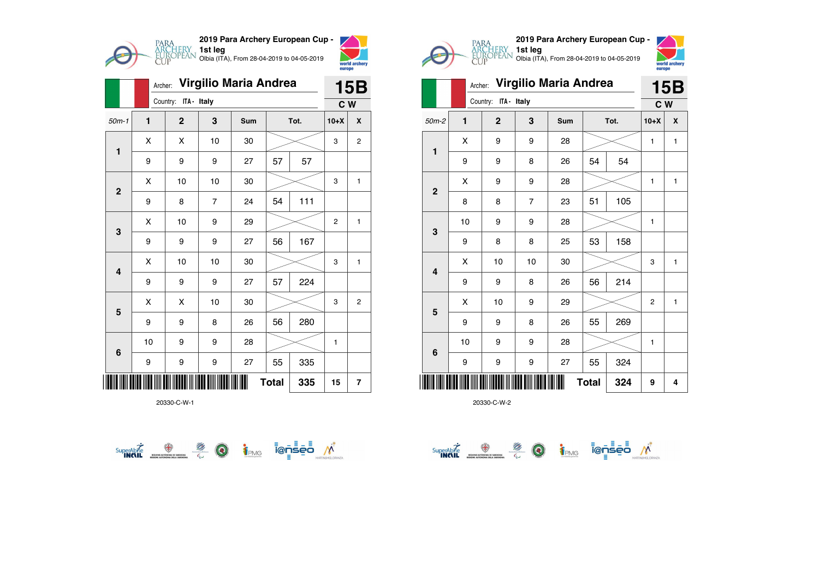

|                         |              | <b>Virgilio Maria Andrea</b><br>Archer: |                |     |              |      |                |                |  |
|-------------------------|--------------|-----------------------------------------|----------------|-----|--------------|------|----------------|----------------|--|
|                         |              | Country: ITA - Italy                    |                |     |              |      | C W            |                |  |
| $50m-1$                 | $\mathbf{1}$ | $\mathbf 2$                             | 3              | Sum |              | Tot. | $10+X$         | X              |  |
|                         | X            | X                                       | 10             | 30  |              |      | 3              | $\overline{2}$ |  |
| 1                       | 9            | 9                                       | 9              | 27  | 57           | 57   |                |                |  |
| $\mathbf{2}$            | X            | 10                                      | 10             | 30  |              |      | 3              | $\mathbf{1}$   |  |
|                         | 9            | 8                                       | $\overline{7}$ | 24  | 54           | 111  |                |                |  |
| 3                       | X            | 10                                      | 9              | 29  |              |      | $\overline{2}$ | 1              |  |
|                         | 9            | 9                                       | 9              | 27  | 56           | 167  |                |                |  |
| $\overline{\mathbf{4}}$ | x            | 10                                      | 10             | 30  |              |      | 3              | 1              |  |
|                         | 9            | 9                                       | 9              | 27  | 57           | 224  |                |                |  |
| 5                       | X            | X                                       | 10             | 30  |              |      | 3              | $\overline{2}$ |  |
|                         | 9            | 9                                       | 8              | 26  | 56           | 280  |                |                |  |
| 6                       | 10           | 9                                       | 9              | 28  |              |      | 1              |                |  |
|                         | 9            | 9                                       | 9              | 27  | 55           | 335  |                |                |  |
|                         |              |                                         |                |     | <b>Total</b> | 335  | 15             | $\overline{7}$ |  |



SuperAbile <del>O</del> & O j<sub>ews</sub> longled N





|                         |    | <b>Virgilio Maria Andrea</b><br>Archer: |                |            |              |      |                |              |  |  |
|-------------------------|----|-----------------------------------------|----------------|------------|--------------|------|----------------|--------------|--|--|
|                         |    | Country:                                | ITA - Italy    |            |              |      | C W            |              |  |  |
| $50m-2$                 | 1  | $\overline{2}$                          | 3              | <b>Sum</b> |              | Tot. | $10+X$         | X            |  |  |
| 1                       | X  | 9                                       | 9              | 28         |              |      | 1              | $\mathbf{1}$ |  |  |
|                         | 9  | 9                                       | 8              | 26         | 54           | 54   |                |              |  |  |
| $\mathbf{2}$            | X  | 9                                       | 9              | 28         |              |      | 1              | 1            |  |  |
|                         | 8  | 8                                       | $\overline{7}$ | 23         | 51           | 105  |                |              |  |  |
| 3                       | 10 | 9                                       | 9              | 28         |              |      | 1              |              |  |  |
|                         | 9  | 8                                       | 8              | 25         | 53           | 158  |                |              |  |  |
| $\overline{\mathbf{4}}$ | X  | 10                                      | 10             | 30         |              |      | 3              | $\mathbf{1}$ |  |  |
|                         | 9  | 9                                       | 8              | 26         | 56           | 214  |                |              |  |  |
| 5                       | Χ  | 10                                      | 9              | 29         |              |      | $\overline{2}$ | 1            |  |  |
|                         | 9  | 9                                       | 8              | 26         | 55           | 269  |                |              |  |  |
| 6                       | 10 | 9                                       | 9              | 28         |              |      | $\mathbf{1}$   |              |  |  |
|                         | 9  | 9                                       | 9              | 27         | 55           | 324  |                |              |  |  |
| ║║                      |    |                                         |                |            | <b>Total</b> | 324  | 9              | 4            |  |  |

SuperAbile <del>O</del> & O j<sub>ews</sub> longled in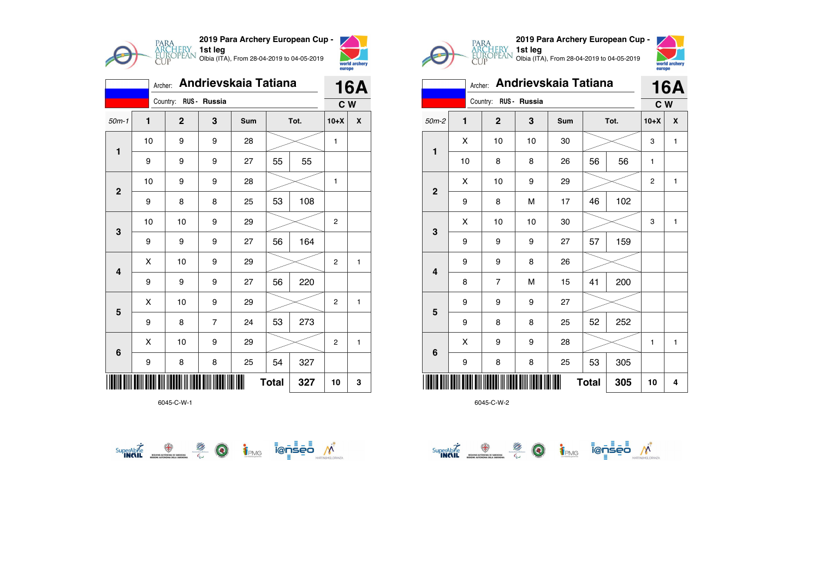

|              | <b>Andrievskaia Tatiana</b><br>Archer: |  |                       |                |     |              |      |                | <b>16A</b>   |  |
|--------------|----------------------------------------|--|-----------------------|----------------|-----|--------------|------|----------------|--------------|--|
|              |                                        |  | Country: RUS - Russia |                |     |              |      | C W            |              |  |
| $50m-1$      | $\mathbf{1}$                           |  | $\mathbf{2}$          | 3              | Sum |              | Tot. | $10+X$         | X            |  |
| 1            | 10                                     |  | 9                     | 9              | 28  |              |      | $\mathbf{1}$   |              |  |
|              | 9                                      |  | 9                     | 9              | 27  | 55           | 55   |                |              |  |
| $\mathbf{2}$ | 10                                     |  | 9                     | 9              | 28  |              |      | 1              |              |  |
|              | 9                                      |  | 8                     | 8              | 25  | 53           | 108  |                |              |  |
| 3            | 10                                     |  | 10                    | 9              | 29  |              |      | 2              |              |  |
|              | 9                                      |  | 9                     | 9              | 27  | 56           | 164  |                |              |  |
| 4            | Χ                                      |  | 10                    | 9              | 29  |              |      | 2              | 1            |  |
|              | 9                                      |  | 9                     | 9              | 27  | 56           | 220  |                |              |  |
| 5            | X                                      |  | 10                    | 9              | 29  |              |      | $\overline{2}$ | 1            |  |
|              | 9                                      |  | 8                     | $\overline{7}$ | 24  | 53           | 273  |                |              |  |
| 6            | X                                      |  | 10                    | 9              | 29  |              |      | $\overline{2}$ | $\mathbf{1}$ |  |
|              | 9                                      |  | 8                     | 8              | 25  | 54           | 327  |                |              |  |
|              |                                        |  |                       |                |     | <b>Total</b> | 327  | 10             | 3            |  |





|                          | Andrievskaia Tatiana | <b>16A</b>            |    |     |    |      |                |   |
|--------------------------|----------------------|-----------------------|----|-----|----|------|----------------|---|
|                          |                      | Country: RUS - Russia |    |     |    |      | C <sub>W</sub> |   |
| $50m-2$                  | 1                    | $\overline{2}$        | 3  | Sum |    | Tot. | $10+X$         | X |
| $\mathbf{1}$             | X                    | 10                    | 10 | 30  |    |      | 3              | 1 |
|                          | 10                   | 8                     | 8  | 26  | 56 | 56   | $\mathbf{1}$   |   |
| $\mathbf 2$              | X                    | 10                    | 9  | 29  |    |      | $\overline{c}$ | 1 |
|                          | 9                    | 8                     | M  | 17  | 46 | 102  |                |   |
| 3                        | x                    | 10                    | 10 | 30  |    |      | 3              | 1 |
|                          | 9                    | 9                     | 9  | 27  | 57 | 159  |                |   |
| 4                        | 9                    | 9                     | 8  | 26  |    |      |                |   |
|                          | 8                    | $\overline{7}$        | M  | 15  | 41 | 200  |                |   |
| 5                        | 9                    | 9                     | 9  | 27  |    |      |                |   |
|                          | 9                    | 8                     | 8  | 25  | 52 | 252  |                |   |
|                          | X                    | 9                     | 9  | 28  |    |      | 1              | 1 |
| 6                        | 9                    | 8                     | 8  | 25  | 53 | 305  |                |   |
| <b>Total</b><br>305<br>║ |                      |                       |    |     |    |      |                | 4 |

6045-C-W-2

SuperAbile <del>O</del> & O j<sub>ews</sub> longled in

SuperAbile <del>O</del> & O j<sub>ews</sub> longled N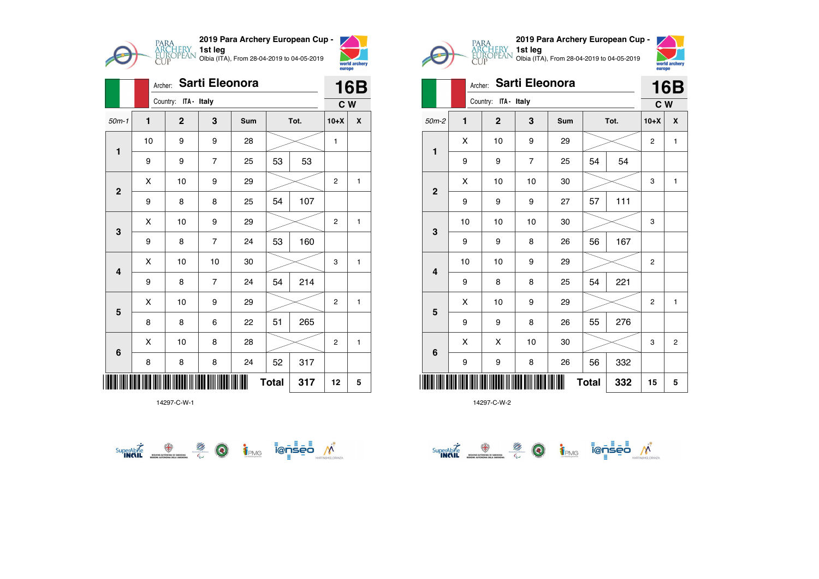

|              |    | Sarti Eleonora<br>Archer: |                |     |              |      |                |              |  |
|--------------|----|---------------------------|----------------|-----|--------------|------|----------------|--------------|--|
|              |    | Country: ITA - Italy      |                |     |              |      | C <sub>W</sub> |              |  |
| $50m-1$      | 1  | $\mathbf 2$               | 3              | Sum |              | Tot. | $10+X$         | X            |  |
| 1            | 10 | 9                         | 9              | 28  |              |      | 1              |              |  |
|              | 9  | 9                         | $\overline{7}$ | 25  | 53           | 53   |                |              |  |
| $\mathbf{2}$ | X  | 10                        | 9              | 29  |              |      | 2              | 1            |  |
|              | 9  | 8                         | 8              | 25  | 54           | 107  |                |              |  |
| 3            | X  | 10                        | 9              | 29  |              |      | $\overline{c}$ | 1            |  |
|              | 9  | 8                         | $\overline{7}$ | 24  | 53           | 160  |                |              |  |
| 4            | X  | 10                        | 10             | 30  |              |      | 3              | 1            |  |
|              | 9  | 8                         | $\overline{7}$ | 24  | 54           | 214  |                |              |  |
| 5            | X  | 10                        | 9              | 29  |              |      | $\overline{c}$ | $\mathbf{1}$ |  |
|              | 8  | 8                         | 6              | 22  | 51           | 265  |                |              |  |
| 6            | X  | 10                        | 8              | 28  |              |      | 2              | 1            |  |
|              | 8  | 8                         | 8              | 24  | 52           | 317  |                |              |  |
|              |    |                           |                |     | <b>Total</b> | 317  | 12             | 5            |  |







 $\overbrace{\text{Supersymmetry}}^{\text{Supersymmetry}}$ 

Superabite <del>The Superior of the state of the state of the state of the state of the state of the state of the state of the state of the state of the state of the state of the state of the state of the state of the state of</del>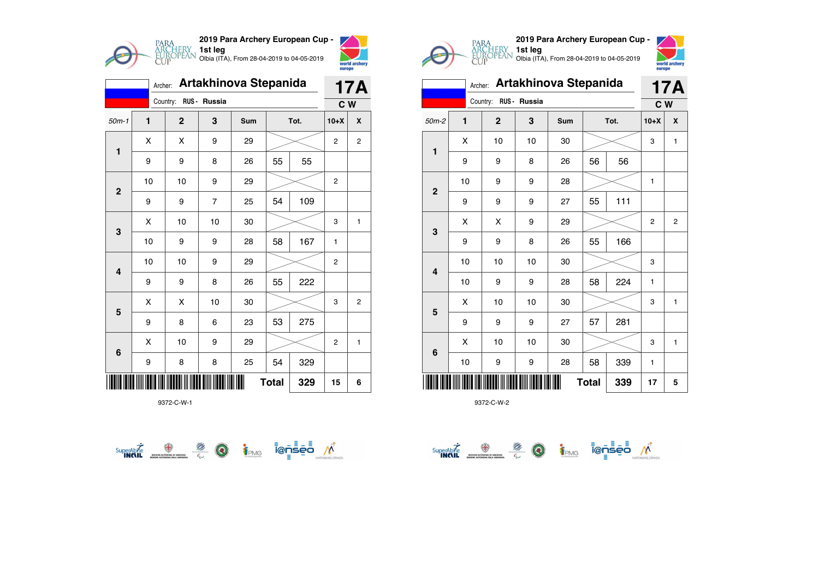

|              | Archer: Artakhinova Stepanida |  |                       |                |     |              |      |                | <b>17A</b>              |  |  |
|--------------|-------------------------------|--|-----------------------|----------------|-----|--------------|------|----------------|-------------------------|--|--|
|              |                               |  | Country: RUS - Russia |                |     |              |      | C W            |                         |  |  |
| $50m-1$      | 1                             |  | $\mathbf{2}$          | 3              | Sum |              | Tot. | $10+X$         | X                       |  |  |
| 1            | X                             |  | X                     | 9              | 29  |              |      | $\overline{c}$ | $\overline{\mathbf{c}}$ |  |  |
|              | 9                             |  | 9                     | 8              | 26  | 55           | 55   |                |                         |  |  |
| $\mathbf{2}$ | 10                            |  | 10                    | 9              | 29  |              |      | 2              |                         |  |  |
|              | 9                             |  | 9                     | $\overline{7}$ | 25  | 54           | 109  |                |                         |  |  |
| 3            | X                             |  | 10                    | 10             | 30  |              |      | 3              | 1                       |  |  |
|              | 10                            |  | 9                     | 9              | 28  | 58           | 167  | 1              |                         |  |  |
| 4            | 10                            |  | 10                    | 9              | 29  |              |      | 2              |                         |  |  |
|              | 9                             |  | 9                     | 8              | 26  | 55           | 222  |                |                         |  |  |
| 5            | X                             |  | X                     | 10             | 30  |              |      | 3              | $\overline{c}$          |  |  |
|              | 9                             |  | 8                     | 6              | 23  | 53           | 275  |                |                         |  |  |
| 6            | X                             |  | 10                    | 9              | 29  |              |      | $\overline{2}$ | $\mathbf{1}$            |  |  |
|              | 9                             |  | 8                     | 8              | 25  | 54           | 329  |                |                         |  |  |
|              |                               |  |                       |                |     | <b>Total</b> | 329  | 15             | 6                       |  |  |

SuperAbile <del>O</del> & O j<sub>ews</sub> longled N







|                         |      |                         |    | Archer: Artakhinova Stepanida |              |     | 17A            |                |
|-------------------------|------|-------------------------|----|-------------------------------|--------------|-----|----------------|----------------|
|                         |      | Country: RUS - Russia   |    |                               |              |     | C W            |                |
| $50m-2$                 | 1    | $\overline{\mathbf{c}}$ | 3  | Sum                           | Tot.         |     | $10+X$         | X              |
| 1                       | х    | 10                      | 10 | 30                            |              |     | 3              | 1              |
|                         | 9    | 9                       | 8  | 26                            | 56           | 56  |                |                |
| $\mathbf 2$             | 10   | 9                       | 9  | 28                            |              |     | 1              |                |
|                         | 9    | 9                       | 9  | 27                            | 55           | 111 |                |                |
| 3                       | X    | X                       | 9  | 29                            |              |     | $\overline{2}$ | $\overline{c}$ |
|                         | 9    | 9                       | 8  | 26                            | 55           | 166 |                |                |
| $\overline{\mathbf{4}}$ | 10   | 10                      | 10 | 30                            |              |     | 3              |                |
|                         | 10   | 9                       | 9  | 28                            | 58           | 224 | $\mathbf{1}$   |                |
|                         | X    | 10                      | 10 | 30                            |              |     | 3              | 1              |
| 5                       | 9    | 9                       | 9  | 27                            | 57           | 281 |                |                |
|                         | X    | 10                      | 10 | 30                            |              |     | 3              | 1              |
| 6                       | $10$ | 9                       | 9  | 28                            | 58           | 339 | 1              |                |
| Ш                       |      |                         |    |                               | <b>Total</b> | 339 | 17             | 5              |

SuperAbile <del>O</del> & O j<sub>ews</sub> longled in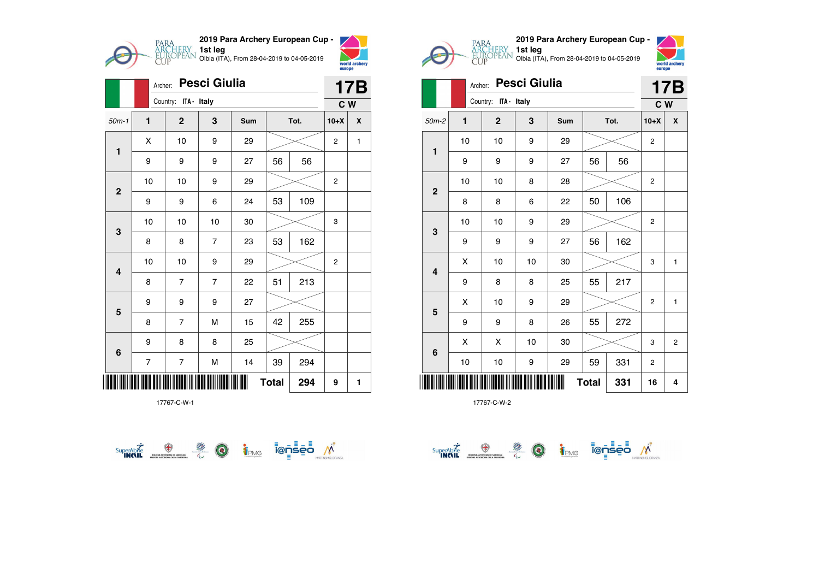

|              |                          | Pesci Giulia<br>Archer:  |                |     |              |      |                |                  |  |
|--------------|--------------------------|--------------------------|----------------|-----|--------------|------|----------------|------------------|--|
|              |                          | Country: ITA - Italy     |                |     |              |      | C W            |                  |  |
| $50m-1$      | $\mathbf{1}$             | $\mathbf 2$              | 3              | Sum |              | Tot. | $10+X$         | $\boldsymbol{x}$ |  |
| $\mathbf{1}$ | X                        | 10                       | 9              | 29  |              |      | $\overline{2}$ | $\mathbf{1}$     |  |
|              | 9                        | 9                        | 9              | 27  | 56           | 56   |                |                  |  |
| $\mathbf{2}$ | 10                       | 10                       | 9              | 29  |              |      | $\overline{c}$ |                  |  |
|              | 9                        | 9                        | 6              | 24  | 53           | 109  |                |                  |  |
| 3            | 10                       | 10                       | 10             | 30  |              |      | 3              |                  |  |
|              | 8                        | 8                        | $\overline{7}$ | 23  | 53           | 162  |                |                  |  |
| 4            | 10                       | 10                       | 9              | 29  |              |      | 2              |                  |  |
|              | 8                        | $\overline{7}$           | $\overline{7}$ | 22  | 51           | 213  |                |                  |  |
| 5            | 9                        | 9                        | 9              | 27  |              |      |                |                  |  |
|              | 8                        | 7                        | М              | 15  | 42           | 255  |                |                  |  |
| 6            | 9                        | 8                        | 8              | 25  |              |      |                |                  |  |
|              | $\overline{\mathcal{I}}$ | $\overline{\mathcal{I}}$ | М              | 14  | 39           | 294  |                |                  |  |
|              |                          |                          |                |     | <b>Total</b> | 294  | 9              | 1                |  |







 $\overbrace{\text{Supersible}}^{\text{Supers}} \quad \overbrace{\text{Supersible}}^{\text{Supers}} \quad \overbrace{\text{Supersible}}^{\text{Supers}} \quad \overbrace{\text{Supersible}}^{\text{Supers}} \quad \text{with} \quad \overbrace{\text{Supersible}}^{\text{Supers}} \quad \text{with} \quad \overbrace{\text{Supersible}}^{\text{Supers}} \quad \text{with} \quad \overbrace{\text{Supersible}}^{\text{Supers}} \quad \text{with} \quad \overbrace{\text{Supersible}}^{\text{Supers}} \quad \text{with} \quad \overbrace{\text{Supersible}}^{\text{Supers}} \quad \text{with} \quad \overbrace{\text{Sup$ 

Superabite <del>The Superior of the state of the state of the state of the state of the state of the state of the state of the state of the state of the state of the state of the state of the state of the state of the state of</del>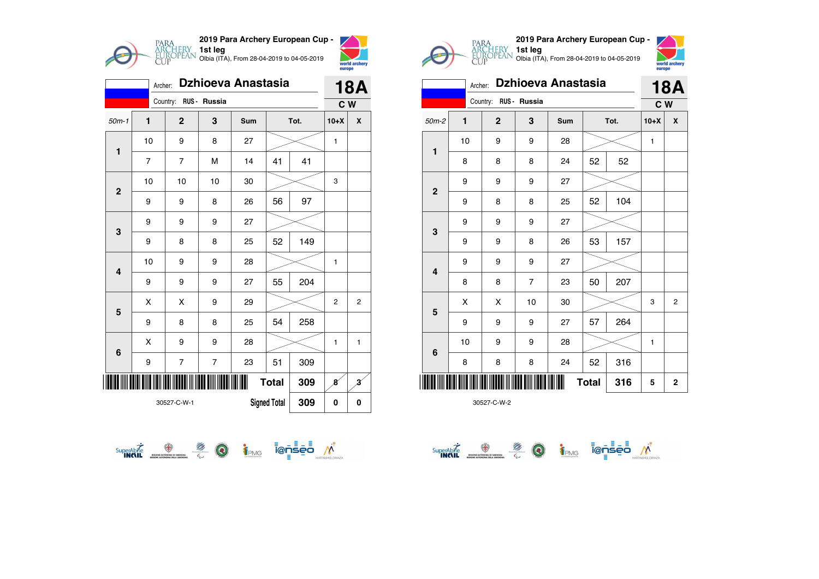

|                         | <b>18A</b>                         |              |                |     |    |      |                |                |
|-------------------------|------------------------------------|--------------|----------------|-----|----|------|----------------|----------------|
|                         |                                    | Country:     | RUS - Russia   |     |    |      |                | C W            |
| $50m-1$                 | 1                                  | $\mathbf{2}$ | 3              | Sum |    | Tot. | $10+X$         | X              |
| 1                       | 10                                 | 9            | 8              | 27  |    |      | 1              |                |
|                         | $\overline{7}$                     | 7            | M              | 14  | 41 | 41   |                |                |
| $\overline{\mathbf{2}}$ | 10                                 | 10           | 10             | 30  |    |      | 3              |                |
|                         | 9                                  | 9            | 8              | 26  | 56 | 97   |                |                |
| 3                       | 9                                  | 9            | 9              | 27  |    |      |                |                |
|                         | 9                                  | 8            | 8              | 25  | 52 | 149  |                |                |
| $\overline{\mathbf{4}}$ | 10                                 | 9            | 9              | 28  |    |      | 1              |                |
|                         | 9                                  | 9            | 9              | 27  | 55 | 204  |                |                |
| 5                       | X                                  | X            | 9              | 29  |    |      | $\overline{2}$ | $\overline{2}$ |
|                         | 9                                  | 8            | 8              | 25  | 54 | 258  |                |                |
| 6                       | X                                  | 9            | 9              | 28  |    |      | 1              | $\mathbf{1}$   |
|                         | 9                                  | 7            | $\overline{7}$ | 23  | 51 | 309  |                |                |
| ║║                      | <b>Total</b><br>309                |              |                |     |    |      |                | 3              |
|                         | <b>Signed Total</b><br>30527-C-W-1 |              |                |     |    |      | 0              | 0              |







|                         | <b>Dzhioeva Anastasia</b> | <b>18A</b>              |                |     |    |      |              |                |
|-------------------------|---------------------------|-------------------------|----------------|-----|----|------|--------------|----------------|
|                         |                           | Country:                | RUS - Russia   |     |    |      | C W          |                |
| $50m-2$                 | 1                         | $\overline{\mathbf{2}}$ | 3              | Sum |    | Tot. | $10+X$       | X              |
| 1                       | 10                        | 9                       | 9              | 28  |    |      | $\mathbf{1}$ |                |
|                         | 8                         | 8                       | 8              | 24  | 52 | 52   |              |                |
| $\mathbf{2}$            | 9                         | 9                       | 9              | 27  |    |      |              |                |
|                         | 9                         | 8                       | 8              | 25  | 52 | 104  |              |                |
| 3                       | 9                         | 9                       | 9              | 27  |    |      |              |                |
|                         | 9                         | 9                       | 8              | 26  | 53 | 157  |              |                |
| $\overline{\mathbf{4}}$ | 9                         | 9                       | 9              | 27  |    |      |              |                |
|                         | 8                         | 8                       | $\overline{7}$ | 23  | 50 | 207  |              |                |
|                         | X                         | X                       | 10             | 30  |    |      | 3            | $\overline{2}$ |
| 5                       | 9                         | 9                       | 9              | 27  | 57 | 264  |              |                |
| 6                       | 10                        | 9                       | 9              | 28  |    |      | 1            |                |
|                         | 8                         | 8                       | 8              | 24  | 52 | 316  |              |                |
| <b>Total</b><br>316     |                           |                         |                |     |    |      |              | $\mathbf{2}$   |

SuperAbile <del>O</del> & O j<sub>ews</sub> longled in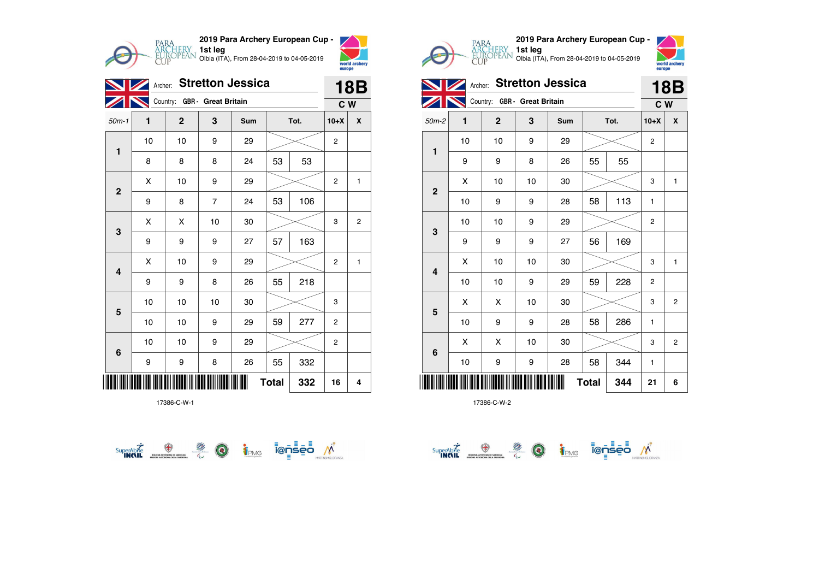

|                           | Archer: Stretton Jessica<br>$\blacksquare$ |                              |                | <b>18B</b> |    |      |                |              |
|---------------------------|--------------------------------------------|------------------------------|----------------|------------|----|------|----------------|--------------|
|                           |                                            | Country: GBR - Great Britain |                |            |    |      | C W            |              |
| $50m-1$                   | 1                                          | $\mathbf 2$                  | 3              | Sum        |    | Tot. | $10+X$         | X            |
| $\mathbf{1}$              | 10                                         | 10                           | 9              | 29         |    |      | $\overline{c}$ |              |
|                           | 8                                          | 8                            | 8              | 24         | 53 | 53   |                |              |
| $\overline{\mathbf{c}}$   | X                                          | 10                           | 9              | 29         |    |      | $\overline{c}$ | $\mathbf{1}$ |
|                           | 9                                          | 8                            | $\overline{7}$ | 24         | 53 | 106  |                |              |
| 3                         | Χ                                          | X                            | 10             | 30         |    |      | 3              | 2            |
|                           | 9                                          | 9                            | 9              | 27         | 57 | 163  |                |              |
| $\overline{\mathbf{4}}$   | Χ                                          | 10                           | 9              | 29         |    |      | 2              | 1            |
|                           | 9                                          | 9                            | 8              | 26         | 55 | 218  |                |              |
| 5                         | 10                                         | 10                           | 10             | 30         |    |      | 3              |              |
|                           | 10                                         | 10                           | 9              | 29         | 59 | 277  | 2              |              |
| 6                         | 10                                         | 10                           | 9              | 29         |    |      | $\overline{c}$ |              |
|                           | 9                                          | 9                            | 8              | 26         | 55 | 332  |                |              |
| <b>Total</b><br>332<br>16 |                                            |                              |                |            |    |      |                | 4            |





world archery



17386-C-W-2

 $\overbrace{\text{Supersymmetry}}^{\text{Supersymmetry}}$ 

Superabile <del>O</del> & O j<sub>ews</sub> longled N'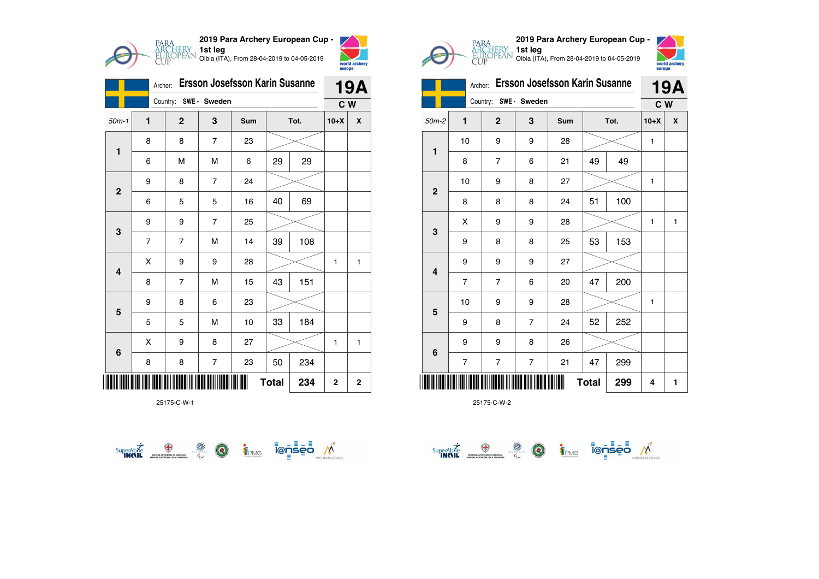

|              |                | Ersson Josefsson Karin Susanne<br>Archer: |                          |     |              |      |             |             |  |  |
|--------------|----------------|-------------------------------------------|--------------------------|-----|--------------|------|-------------|-------------|--|--|
|              |                | Country: SWE- Sweden                      |                          |     |              |      | C W         |             |  |  |
| $50m-1$      | 1              | $\mathbf 2$                               | 3                        | Sum |              | Tot. | $10+X$      | X           |  |  |
| $\mathbf{1}$ | 8              | 8                                         | $\overline{7}$           | 23  |              |      |             |             |  |  |
|              | 6              | М                                         | M                        | 6   | 29           | 29   |             |             |  |  |
| $\mathbf 2$  | 9              | 8                                         | $\overline{7}$           | 24  |              |      |             |             |  |  |
|              | 6              | 5                                         | 5                        | 16  | 40           | 69   |             |             |  |  |
| 3            | 9              | 9                                         | $\overline{7}$           | 25  |              |      |             |             |  |  |
|              | $\overline{7}$ | 7                                         | M                        | 14  | 39           | 108  |             |             |  |  |
| 4            | Χ              | 9                                         | 9                        | 28  |              |      | 1           | 1           |  |  |
|              | 8              | $\overline{7}$                            | M                        | 15  | 43           | 151  |             |             |  |  |
| 5            | 9              | 8                                         | 6                        | 23  |              |      |             |             |  |  |
|              | 5              | 5                                         | M                        | 10  | 33           | 184  |             |             |  |  |
| 6            | X              | 9                                         | 8                        | 27  |              |      | 1           | 1           |  |  |
|              | 8              | 8                                         | $\overline{\mathcal{I}}$ | 23  | 50           | 234  |             |             |  |  |
|              |                |                                           |                          |     | <b>Total</b> | 234  | $\mathbf 2$ | $\mathbf 2$ |  |  |







| <b>Ersson Josefsson Karin Susanne</b><br>Archer: |                |                          |                |     |              |      |        | <b>19A</b> |  |
|--------------------------------------------------|----------------|--------------------------|----------------|-----|--------------|------|--------|------------|--|
|                                                  |                | Country: SWE - Sweden    |                |     |              |      | C W    |            |  |
| $50m-2$                                          | 1              | $\mathbf 2$              | 3              | Sum |              | Tot. | $10+X$ | X          |  |
| 1                                                | 10             | 9                        | 9              | 28  |              |      | 1      |            |  |
|                                                  | 8              | $\overline{7}$           | 6              | 21  | 49           | 49   |        |            |  |
| $\mathbf 2$                                      | 10             | 9                        | 8              | 27  |              |      | 1      |            |  |
|                                                  | 8              | 8                        | 8              | 24  | 51           | 100  |        |            |  |
| 3                                                | X              | 9                        | 9              | 28  |              |      | 1      | 1          |  |
|                                                  | 9              | 8                        | 8              | 25  | 53           | 153  |        |            |  |
| 4                                                | 9              | 9                        | 9              | 27  |              |      |        |            |  |
|                                                  | $\overline{7}$ | $\overline{7}$           | 6              | 20  | 47           | 200  |        |            |  |
| 5                                                | 10             | 9                        | 9              | 28  |              |      | 1      |            |  |
|                                                  | 9              | 8                        | $\overline{7}$ | 24  | 52           | 252  |        |            |  |
| 6                                                | 9              | 9                        | 8              | 26  |              |      |        |            |  |
|                                                  | $\overline{7}$ | $\overline{\mathcal{I}}$ | $\overline{7}$ | 21  | 47           | 299  |        |            |  |
|                                                  |                |                          |                |     | <b>Total</b> | 299  | 4      | 1          |  |

SuperAbile <del>O</del> & O j<sub>ews</sub> longled N

SuperAbile <del>O</del> & O j<sub>ews</sub> longled in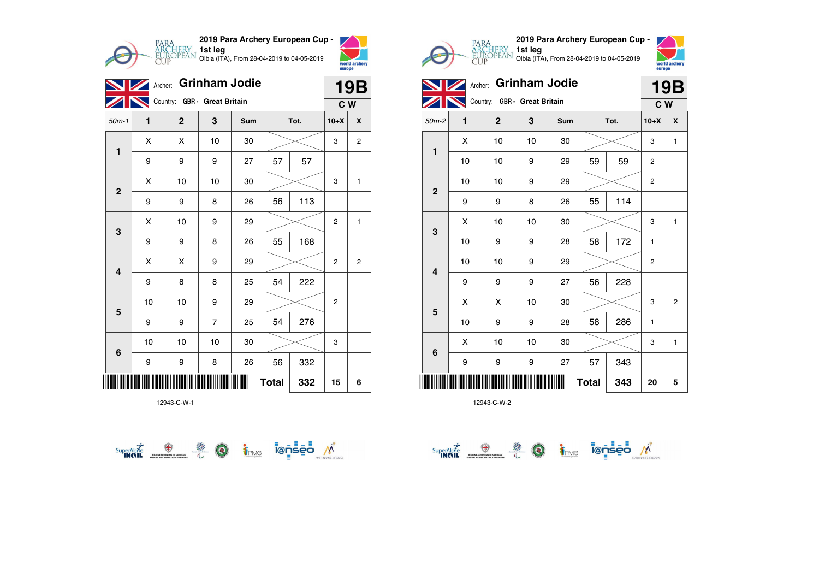

|              | V  | <b>Grinham Jodie</b><br>Archer: |                |     |              |      |                |                |  |  |
|--------------|----|---------------------------------|----------------|-----|--------------|------|----------------|----------------|--|--|
|              |    | Country: GBR - Great Britain    |                |     |              |      | C W            |                |  |  |
| $50m-1$      | 1  | $\mathbf 2$                     | 3              | Sum |              | Tot. | $10+X$         | X              |  |  |
| 1            | X  | X                               | 10             | 30  |              |      | 3              | $\overline{2}$ |  |  |
|              | 9  | 9                               | 9              | 27  | 57           | 57   |                |                |  |  |
| $\mathbf{2}$ | X  | 10                              | 10             | 30  |              |      | 3              | $\mathbf{1}$   |  |  |
|              | 9  | 9                               | 8              | 26  | 56           | 113  |                |                |  |  |
| 3            | X  | 10                              | 9              | 29  |              |      | $\overline{c}$ | $\mathbf{1}$   |  |  |
|              | 9  | 9                               | 8              | 26  | 55           | 168  |                |                |  |  |
| 4            | X  | x                               | 9              | 29  |              |      | $\overline{c}$ | $\overline{c}$ |  |  |
|              | 9  | 8                               | 8              | 25  | 54           | 222  |                |                |  |  |
| 5            | 10 | 10                              | 9              | 29  |              |      | 2              |                |  |  |
|              | 9  | 9                               | $\overline{7}$ | 25  | 54           | 276  |                |                |  |  |
| 6            | 10 | 10                              | 10             | 30  |              |      | 3              |                |  |  |
|              | 9  | 9                               | 8              | 26  | 56           | 332  |                |                |  |  |
|              |    |                                 |                |     | <b>Total</b> | 332  | 15             | 6              |  |  |







 $\overbrace{\text{Supersymmetry}}^{\text{Supersymmetry}}$ 

Superbote **+ 2 + 1** Frus lengthen N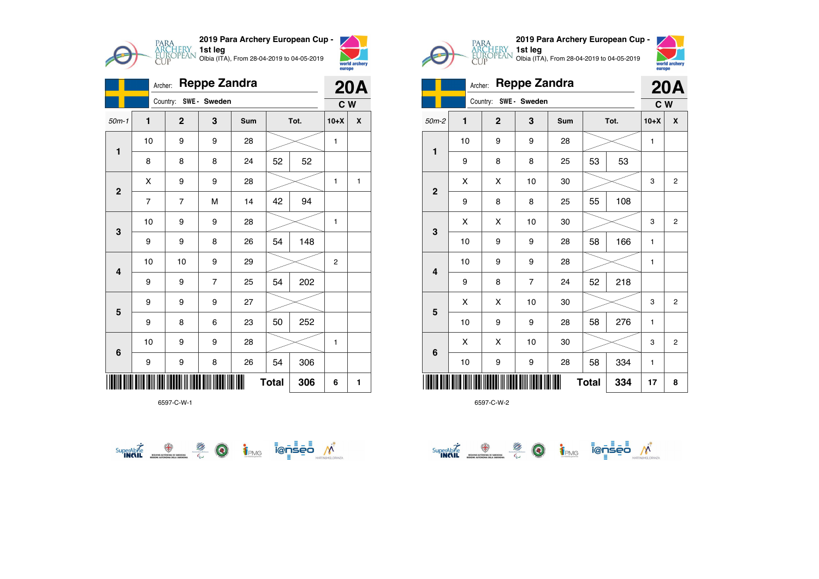

| <b>Reppe Zandra</b><br>Archer: |                |  |                |                |     |              |      |                | <b>20A</b>   |  |
|--------------------------------|----------------|--|----------------|----------------|-----|--------------|------|----------------|--------------|--|
|                                |                |  | Country:       | SWE- Sweden    |     |              |      | C W            |              |  |
| $50m-1$                        | 1              |  | $\mathbf 2$    | 3              | Sum |              | Tot. | $10+X$         | X            |  |
| 1                              | 10             |  | 9              | 9              | 28  |              |      | $\mathbf{1}$   |              |  |
|                                | 8              |  | 8              | 8              | 24  | 52           | 52   |                |              |  |
| $\mathbf 2$                    | X              |  | 9              | 9              | 28  |              |      | 1              | $\mathbf{1}$ |  |
|                                | $\overline{7}$ |  | $\overline{7}$ | M              | 14  | 42           | 94   |                |              |  |
| 3                              | 10             |  | 9              | 9              | 28  |              |      | 1              |              |  |
|                                | 9              |  | 9              | 8              | 26  | 54           | 148  |                |              |  |
| 4                              | 10             |  | 10             | 9              | 29  |              |      | $\overline{c}$ |              |  |
|                                | 9              |  | 9              | $\overline{7}$ | 25  | 54           | 202  |                |              |  |
| 5                              | 9              |  | 9              | 9              | 27  |              |      |                |              |  |
|                                | 9              |  | 8              | 6              | 23  | 50           | 252  |                |              |  |
| 6                              | 10             |  | 9              | 9              | 28  |              |      | $\mathbf{1}$   |              |  |
|                                | 9              |  | 9              | 8              | 26  | 54           | 306  |                |              |  |
|                                |                |  |                |                |     | <b>Total</b> | 306  | 6              | 1            |  |





|                         | Archer: |                      | <b>20A</b> |     |              |      |        |                |
|-------------------------|---------|----------------------|------------|-----|--------------|------|--------|----------------|
|                         |         | Country: SWE- Sweden |            |     |              |      | C W    |                |
| $50m-2$                 | 1       | $\mathbf 2$          | 3          | Sum |              | Tot. | $10+X$ | X              |
| 1                       | 10      | 9                    | 9          | 28  |              |      | 1      |                |
|                         | 9       | 8                    | 8          | 25  | 53           | 53   |        |                |
| $\mathbf 2$             | х       | x                    | 10         | 30  |              |      | 3      | 2              |
|                         | 9       | 8                    | 8          | 25  | 55           | 108  |        |                |
| 3                       | X       | X                    | 10         | 30  |              |      | 3      | $\overline{2}$ |
|                         | $10$    | 9                    | 9          | 28  | 58           | 166  | 1      |                |
| $\overline{\mathbf{4}}$ | 10      | 9                    | 9          | 28  |              |      | 1      |                |
|                         | 9       | 8                    | 7          | 24  | 52           | 218  |        |                |
| $5\phantom{1}$          | Χ       | X                    | 10         | 30  |              |      | 3      | $\overline{2}$ |
|                         | 10      | 9                    | 9          | 28  | 58           | 276  | 1      |                |
| $6\phantom{1}$          | X       | x                    | 10         | 30  |              |      | 3      | 2              |
|                         | $10$    | 9                    | 9          | 28  | 58           | 334  | 1      |                |
| Ш                       |         |                      |            |     | <b>Total</b> | 334  | 17     | 8              |

SuperAbile <del>O</del> & O j<sub>ews</sub> longled N

SuperAbile <del>O</del> & O j<sub>ews</sub> longled in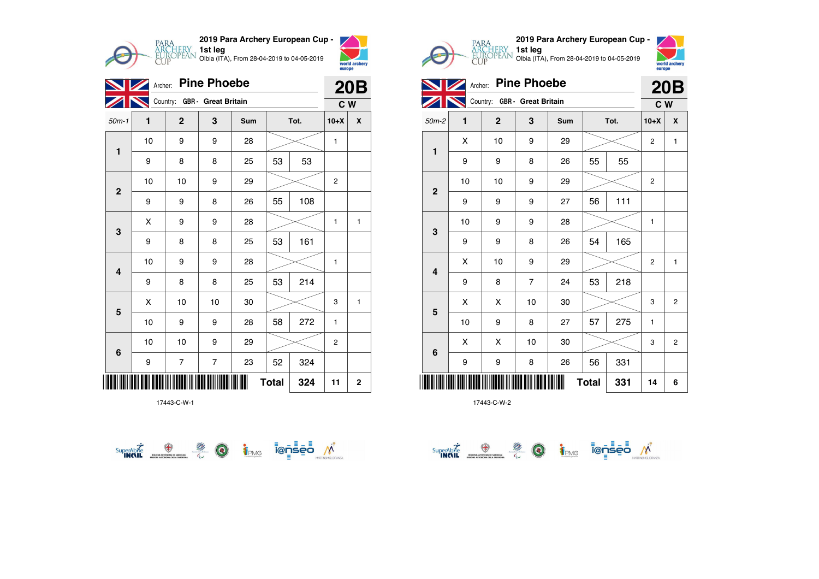

|                         |    | <b>20B</b>                   |                |     |              |      |                |                |
|-------------------------|----|------------------------------|----------------|-----|--------------|------|----------------|----------------|
|                         |    | Country: GBR - Great Britain |                |     |              |      | C W            |                |
| $50m-1$                 | 1  | $\mathbf{2}$                 | 3              | Sum |              | Tot. | $10+X$         | X              |
| 1                       | 10 | 9                            | 9              | 28  |              |      | 1              |                |
|                         | 9  | 8                            | 8              | 25  | 53           | 53   |                |                |
| $\overline{\mathbf{c}}$ | 10 | 10                           | 9              | 29  |              |      | $\overline{2}$ |                |
|                         | 9  | 9                            | 8              | 26  | 55           | 108  |                |                |
| 3                       | X  | 9                            | 9              | 28  |              |      | 1              | 1              |
|                         | 9  | 8                            | 8              | 25  | 53           | 161  |                |                |
| 4                       | 10 | 9                            | 9              | 28  |              |      | 1              |                |
|                         | 9  | 8                            | 8              | 25  | 53           | 214  |                |                |
| 5                       | X  | 10                           | 10             | 30  |              |      | 3              | 1              |
|                         | 10 | 9                            | 9              | 28  | 58           | 272  | 1              |                |
| 6                       | 10 | 10                           | 9              | 29  |              |      | $\overline{c}$ |                |
|                         | 9  | 7                            | $\overline{7}$ | 23  | 52           | 324  |                |                |
|                         |    |                              |                |     | <b>Total</b> | 324  | 11             | $\overline{2}$ |



Superable <del>0</del> 2 0 i<sub>PMG</sub> i@psed n'



**1**

**2**

**3**

**4**

**5**

**6**





X X 10 30 3 2

 $\begin{array}{|c|c|c|c|c|}\hline \text{X} & \text{X} & \text{10} & \text{30} & \text{\hspace{1em}}\hline \end{array} \hspace{0.2cm} \begin{array}{|c|c|c|c|c|}\hline \text{3} & \text{3} & \text{2} & \text{3} & \text{2} \\\hline \end{array}$ 

**Total 331 14 6**

10 | 9 | 8 | 27 | 57 | 275 | 1

9 | 9 | 8 | 26 | 56 | 331

 $\overbrace{\phantom{\mathsf{supp}}^{\mathsf{supp}}_{\mathsf{INQIL}}}^{\mathsf{supp}}\quad \overbrace{\phantom{\mathsf{supp}}^{\mathsf{supp}}_{\mathsf{con}}}\quad \overbrace{\phantom{\mathsf{supp}}^{\mathsf{supp}}_{\mathsf{con}}}^{\mathsf{supp}}\quad \overbrace{\phantom{\mathsf{supp}}^{\mathsf{supp}}}^{\mathsf{supp}}\quad \overbrace{\phantom{\mathsf{supp}}^{\mathsf{supp}}}^{\mathsf{supp}}\quad \overbrace{\phantom{\mathsf{supp}}^{\mathsf{supp}}}^{\mathsf{supp}}$ 

\*17443-C-W-2\*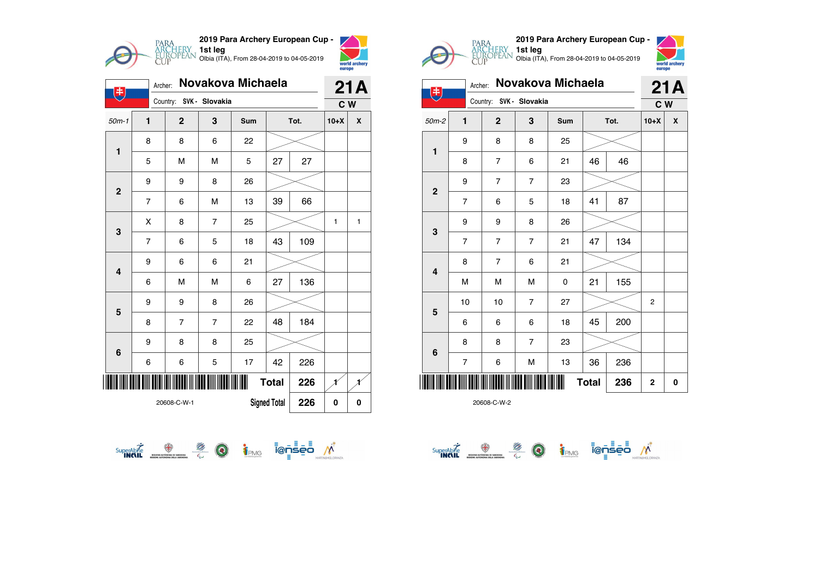

| Novakova Michaela<br>Archer:<br>虫 |                                    |                         |                |     |              |      |        | <b>21A</b> |
|-----------------------------------|------------------------------------|-------------------------|----------------|-----|--------------|------|--------|------------|
|                                   |                                    | Country: SVK - Slovakia |                |     |              |      | C W    |            |
| $50m-1$                           | 1                                  | $\mathbf 2$             | 3              | Sum |              | Tot. | $10+X$ | X          |
| 1                                 | 8                                  | 8                       | 6              | 22  |              |      |        |            |
|                                   | 5                                  | M                       | M              | 5   | 27           | 27   |        |            |
| $\overline{2}$                    | 9                                  | 9                       | 8              | 26  |              |      |        |            |
|                                   | $\overline{\mathcal{I}}$           | 6                       | Μ              | 13  | 39           | 66   |        |            |
| 3                                 | X                                  | 8                       | $\overline{7}$ | 25  |              |      | 1      | 1          |
|                                   | $\overline{7}$                     | 6                       | 5              | 18  | 43           | 109  |        |            |
| $\overline{4}$                    | 9                                  | 6                       | 6              | 21  |              |      |        |            |
|                                   | 6                                  | M                       | М              | 6   | 27           | 136  |        |            |
| 5                                 | 9                                  | 9                       | 8              | 26  |              |      |        |            |
|                                   | 8                                  | $\overline{7}$          | $\overline{7}$ | 22  | 48           | 184  |        |            |
| 6                                 | 9                                  | 8                       | 8              | 25  |              |      |        |            |
|                                   | 6                                  | 6                       | 5              | 17  | 42           | 226  |        |            |
| ∭                                 |                                    |                         |                |     | <b>Total</b> | 226  |        |            |
|                                   | <b>Signed Total</b><br>20608-C-W-1 |                         |                |     | 226          | 0    | 0      |            |







| Novakova Michaela<br>Archer:<br>电 |                |                |                         |     |              |      |                | 21A |  |  |
|-----------------------------------|----------------|----------------|-------------------------|-----|--------------|------|----------------|-----|--|--|
|                                   |                |                | Country: SVK - Slovakia |     |              |      | C W            |     |  |  |
| $50m-2$                           | 1              | $\mathbf{2}$   | 3                       | Sum |              | Tot. | $10+X$         | X   |  |  |
| $\mathbf{1}$                      | 9              | 8              | 8                       | 25  |              |      |                |     |  |  |
|                                   | 8              | $\overline{7}$ | 6                       | 21  | 46           | 46   |                |     |  |  |
| $\mathbf 2$                       | 9              | $\overline{7}$ | $\overline{7}$          | 23  |              |      |                |     |  |  |
|                                   | $\overline{7}$ | 6              | 5                       | 18  | 41           | 87   |                |     |  |  |
| 3                                 | 9              | 9              | 8                       | 26  |              |      |                |     |  |  |
|                                   | $\overline{7}$ | $\overline{7}$ | $\overline{7}$          | 21  | 47           | 134  |                |     |  |  |
| $\overline{\mathbf{4}}$           | 8              | $\overline{7}$ | 6                       | 21  |              |      |                |     |  |  |
|                                   | М              | M              | M                       | 0   | 21           | 155  |                |     |  |  |
| 5                                 | 10             | 10             | $\overline{7}$          | 27  |              |      | $\overline{c}$ |     |  |  |
|                                   | 6              | 6              | 6                       | 18  | 45           | 200  |                |     |  |  |
| 6                                 | 8              | 8              | $\overline{7}$          | 23  |              |      |                |     |  |  |
|                                   | 7              | 6              | M                       | 13  | 36           | 236  |                |     |  |  |
| ║║║                               |                |                |                         |     | <b>Total</b> | 236  | 2              | 0   |  |  |

SuperAbile <del>9 % @ 1</del>ems 1@ps=eb /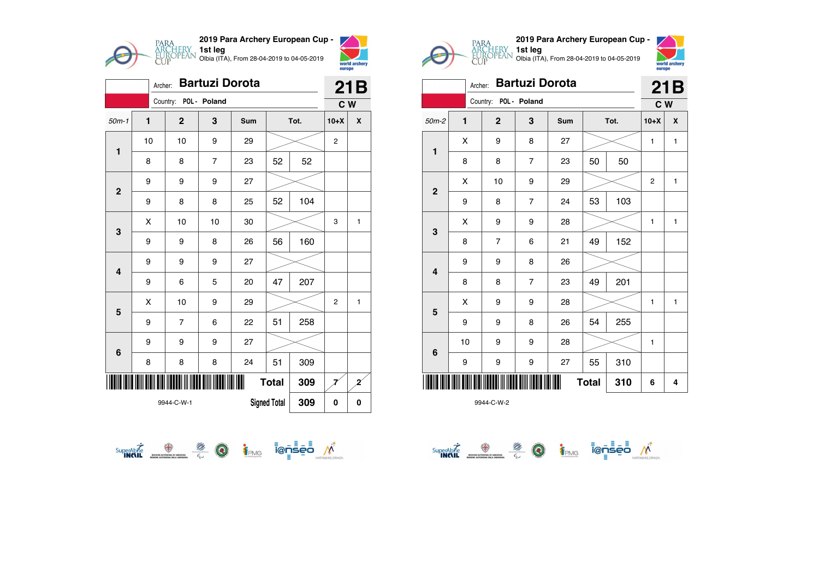

| <b>Bartuzi Dorota</b><br>Archer: |                                   |  |                |                |     |              |      |                | 21B          |
|----------------------------------|-----------------------------------|--|----------------|----------------|-----|--------------|------|----------------|--------------|
|                                  |                                   |  | Country:       | POL- Poland    |     |              |      | C W            |              |
| $50m-1$                          | 1                                 |  | $\overline{2}$ | 3              | Sum |              | Tot. | $10+X$         | X            |
| 1                                | 10                                |  | 10             | 9              | 29  |              |      | $\overline{2}$ |              |
|                                  | 8                                 |  | 8              | $\overline{7}$ | 23  | 52           | 52   |                |              |
| $\overline{2}$                   | 9                                 |  | 9              | 9              | 27  |              |      |                |              |
|                                  | 9                                 |  | 8              | 8              | 25  | 52           | 104  |                |              |
| 3                                | Χ                                 |  | 10             | 10             | 30  |              |      | 3              | $\mathbf{1}$ |
|                                  | 9                                 |  | 9              | 8              | 26  | 56           | 160  |                |              |
| $\overline{4}$                   | 9                                 |  | 9              | 9              | 27  |              |      |                |              |
|                                  | 9                                 |  | 6              | 5              | 20  | 47           | 207  |                |              |
| 5                                | X                                 |  | 10             | 9              | 29  |              |      | $\overline{c}$ | $\mathbf{1}$ |
|                                  | 9                                 |  | $\overline{7}$ | 6              | 22  | 51           | 258  |                |              |
| 6                                | 9                                 |  | 9              | 9              | 27  |              |      |                |              |
|                                  | 8                                 |  | 8              | 8              | 24  | 51           | 309  |                |              |
|                                  |                                   |  |                |                |     | <b>Total</b> | 309  |                | 2            |
|                                  | <b>Signed Total</b><br>9944-C-W-1 |  |                |                |     | 309          | 0    | 0              |              |

Superabite <del>O</del> & O j<sub>ews</sub> lopesed N'







Superabre <del>C</del> & O j<sub>ews</sub> jer<mark>isée *n*°</mark>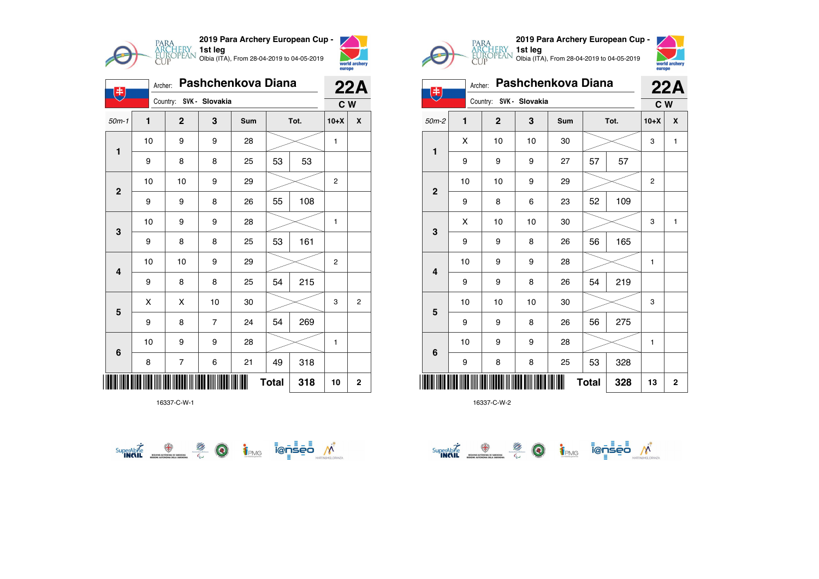

| Pashchenkova Diana<br>Archer:<br>主 |    |                         |                |     |              |      |                | 22A              |
|------------------------------------|----|-------------------------|----------------|-----|--------------|------|----------------|------------------|
|                                    |    | Country: SVK - Slovakia |                |     |              |      | C W            |                  |
| $50m-1$                            | 1  | $\mathbf 2$             | 3              | Sum |              | Tot. | $10+X$         | $\boldsymbol{x}$ |
| 1                                  | 10 | 9                       | 9              | 28  |              |      | 1              |                  |
|                                    | 9  | 8                       | 8              | 25  | 53           | 53   |                |                  |
| $\mathbf{2}$                       | 10 | 10                      | 9              | 29  |              |      | $\overline{c}$ |                  |
|                                    | 9  | 9                       | 8              | 26  | 55           | 108  |                |                  |
| 3                                  | 10 | 9                       | 9              | 28  |              |      | 1              |                  |
|                                    | 9  | 8                       | 8              | 25  | 53           | 161  |                |                  |
| 4                                  | 10 | 10                      | 9              | 29  |              |      | $\overline{c}$ |                  |
|                                    | 9  | 8                       | 8              | 25  | 54           | 215  |                |                  |
| 5                                  | X  | X                       | 10             | 30  |              |      | 3              | $\overline{c}$   |
|                                    | 9  | 8                       | $\overline{7}$ | 24  | 54           | 269  |                |                  |
| 6                                  | 10 | 9                       | 9              | 28  |              |      | 1              |                  |
|                                    | 8  | 7                       | 6              | 21  | 49           | 318  |                |                  |
|                                    |    |                         |                |     | <b>Total</b> | 318  | 10             | $\mathbf 2$      |



SuperAbile <del>O</del> & O j<sub>ews</sub> longled N



**2019 Para Archery European Cup - 1st leg** Olbia (ITA), From 28-04-2019 to 04-05-2019



| Pashchenkova Diana<br>Archer:<br>击 |    |                         |    |     |              |      | 22A            |                |
|------------------------------------|----|-------------------------|----|-----|--------------|------|----------------|----------------|
|                                    |    | Country: SVK - Slovakia |    |     |              |      | C <sub>W</sub> |                |
| $50m-2$                            | 1  | $\mathbf 2$             | 3  | Sum |              | Tot. | $10+X$         | X              |
| 1                                  | X  | 10                      | 10 | 30  |              |      | 3              | 1              |
|                                    | 9  | 9                       | 9  | 27  | 57           | 57   |                |                |
| $\mathbf 2$                        | 10 | 10                      | 9  | 29  |              |      | $\overline{c}$ |                |
|                                    | 9  | 8                       | 6  | 23  | 52           | 109  |                |                |
| 3                                  | X  | 10                      | 10 | 30  |              |      | 3              | 1              |
|                                    | 9  | 9                       | 8  | 26  | 56           | 165  |                |                |
| 4                                  | 10 | 9                       | 9  | 28  |              |      | $\mathbf{1}$   |                |
|                                    | 9  | 9                       | 8  | 26  | 54           | 219  |                |                |
| 5                                  | 10 | 10                      | 10 | 30  |              |      | 3              |                |
|                                    | 9  | 9                       | 8  | 26  | 56           | 275  |                |                |
| 6                                  | 10 | 9                       | 9  | 28  |              |      | 1              |                |
|                                    | 9  | 8                       | 8  | 25  | 53           | 328  |                |                |
|                                    |    |                         |    |     | <b>Total</b> | 328  | 13             | $\overline{2}$ |

SuperAbile <del>O</del> & O j<sub>ews</sub> longled in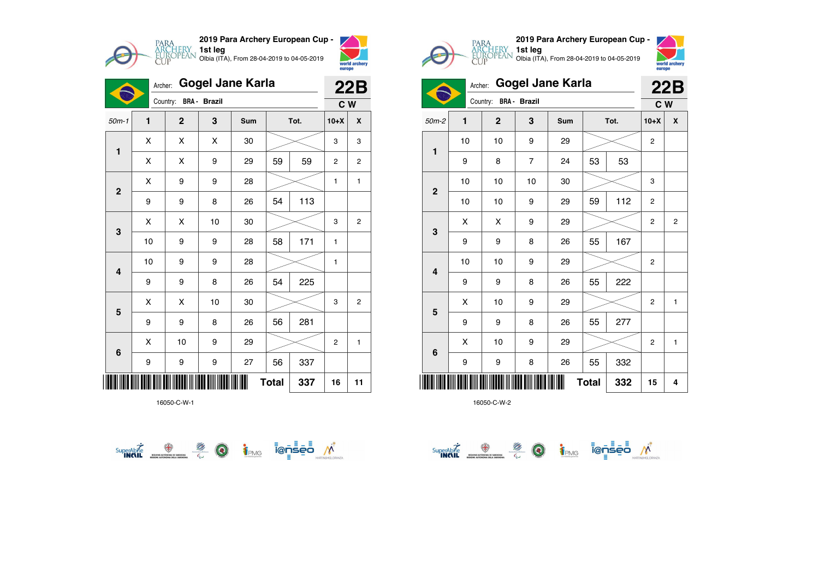

| <b>Gogel Jane Karla</b><br>Archer: |    |             |              |     |              |      |        | 22B              |  |  |
|------------------------------------|----|-------------|--------------|-----|--------------|------|--------|------------------|--|--|
|                                    |    | Country:    | BRA - Brazil |     |              |      | C W    |                  |  |  |
| $50m-1$                            | 1  | $\mathbf 2$ | 3            | Sum |              | Tot. | $10+X$ | $\boldsymbol{x}$ |  |  |
| 1                                  | X  | X           | X            | 30  |              |      | 3      | 3                |  |  |
|                                    | X  | X           | 9            | 29  | 59           | 59   | 2      | $\overline{c}$   |  |  |
| $\mathbf{2}$                       | X  | 9           | 9            | 28  |              |      | 1      | 1                |  |  |
|                                    | 9  | 9           | 8            | 26  | 54           | 113  |        |                  |  |  |
| 3                                  | Χ  | Χ           | 10           | 30  |              |      | 3      | $\overline{c}$   |  |  |
|                                    | 10 | 9           | 9            | 28  | 58           | 171  | 1      |                  |  |  |
| 4                                  | 10 | 9           | 9            | 28  |              |      | 1      |                  |  |  |
|                                    | 9  | 9           | 8            | 26  | 54           | 225  |        |                  |  |  |
| 5                                  | X  | X           | 10           | 30  |              |      | 3      | $\overline{c}$   |  |  |
|                                    | 9  | 9           | 8            | 26  | 56           | 281  |        |                  |  |  |
| 6                                  | X  | 10          | 9            | 29  |              |      | 2      | 1                |  |  |
|                                    | 9  | 9           | 9            | 27  | 56           | 337  |        |                  |  |  |
|                                    |    |             |              |     | <b>Total</b> | 337  | 16     | 11               |  |  |



Superbote <del>0</del> % + iens long set n'



**1**

**2**

**3**

**4**

**5**

**6**





 $\begin{array}{|c|c|c|c|c|}\hline \text{X} & \text{10} & \text{9} & \text{29} & \text{29} & \text{\hspace{1em}}\hline \end{array} \hspace{0.25cm} \begin{array}{|c|c|c|c|c|}\hline \text{29} & \text{29} & \text{20} & \text{21} & \text{21} & \text{22} & \text{23} & \text{24} & \text{25} & \text{26} & \text{27} & \text{28} & \text{27} & \text{28} & \text{28} & \text{29} & \text{20} & \text{$ 

 $\begin{array}{|c|c|c|c|c|}\hline \text{X} & \text{10} & \text{9} & \text{29} & \text{\hspace{1em}}\hline \end{array} \hspace{0.2cm} \begin{array}{|c|c|c|c|c|}\hline \text{29} & \text{29} & \text{\hspace{1em}}\hline \end{array} \hspace{0.2cm} \begin{array}{|c|c|c|c|}\hline \text{20} & \text{21} & \text{21} & \text{11} \hline \end{array}$ 

**Total 332 15 4**

9 | 9 | 8 | 26 | 55 | 277

9 | 9 | 8 | 26 | 55 | 332

16050-C-W-2

\***16050-C-W-20050-C-W-20050-C-W-20050-C-W-2** 

 $\overbrace{\text{Supersible}}^{\text{Supers}} \quad \overbrace{\text{Supersible}}^{\text{Supers}} \quad \overbrace{\text{Supersible}}^{\text{Supers}} \quad \overbrace{\text{Supersible}}^{\text{Supers}} \quad \text{with} \quad \overbrace{\text{Supersible}}^{\text{Supers}} \quad \text{with} \quad \overbrace{\text{Supersible}}^{\text{Supers}} \quad \text{with} \quad \overbrace{\text{Supersible}}^{\text{Supers}} \quad \text{with} \quad \overbrace{\text{Supersible}}^{\text{Supers}} \quad \text{with} \quad \overbrace{\text{Supersible}}^{\text{Supers}} \quad \text{with} \quad \overbrace{\text{Sup$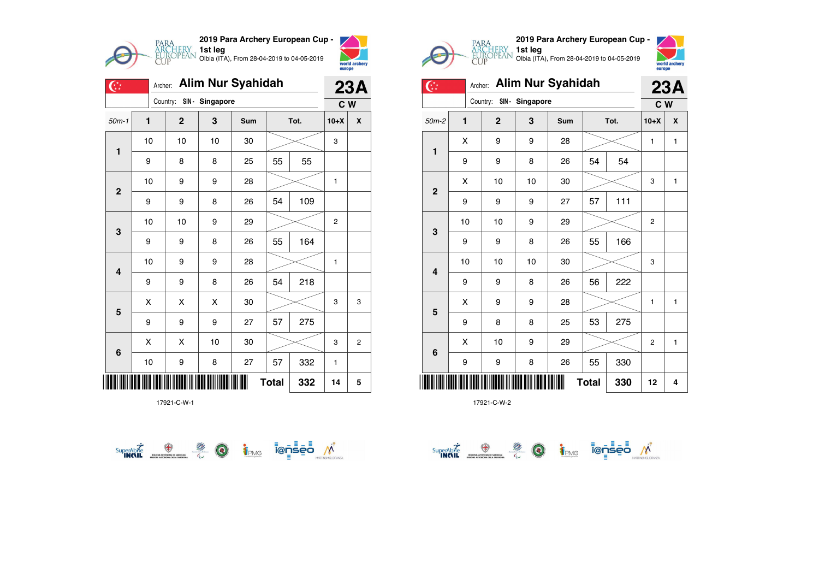

| $\mathbb{C}^{\star}$ |    | Archer: Alim Nur Syahidah |    |     | 23A          |      |                |                |
|----------------------|----|---------------------------|----|-----|--------------|------|----------------|----------------|
|                      |    | Country: SIN - Singapore  |    |     |              |      | C <sub>W</sub> |                |
| $50m-1$              | 1  | $\mathbf 2$               | 3  | Sum |              | Tot. | $10+X$         | X              |
| 1                    | 10 | 10                        | 10 | 30  |              |      | 3              |                |
|                      | 9  | 8                         | 8  | 25  | 55           | 55   |                |                |
| $\mathbf 2$          | 10 | 9                         | 9  | 28  |              |      | 1              |                |
|                      | 9  | 9                         | 8  | 26  | 54           | 109  |                |                |
| 3                    | 10 | 10                        | 9  | 29  |              |      | $\overline{c}$ |                |
|                      | 9  | 9                         | 8  | 26  | 55           | 164  |                |                |
| 4                    | 10 | 9                         | 9  | 28  |              |      | 1              |                |
|                      | 9  | 9                         | 8  | 26  | 54           | 218  |                |                |
| 5                    | X  | X                         | X  | 30  |              |      | 3              | 3              |
|                      | 9  | 9                         | 9  | 27  | 57           | 275  |                |                |
| 6                    | X  | Χ                         | 10 | 30  |              |      | 3              | $\overline{2}$ |
|                      | 10 | 9                         | 8  | 27  | 57           | 332  | 1              |                |
|                      |    |                           |    |     | <b>Total</b> | 332  | 14             | 5              |



world archery<br>europe

| $\overline{\mathbb{G}}$ | <b>Alim Nur Syahidah</b><br>Archer: |                |                 |            |              |      |                | 23A |
|-------------------------|-------------------------------------|----------------|-----------------|------------|--------------|------|----------------|-----|
|                         |                                     | Country:       | SIN - Singapore |            |              |      | C <sub>W</sub> |     |
| $50m-2$                 | 1                                   | $\overline{2}$ | 3               | <b>Sum</b> |              | Tot. | $10+X$         | X   |
| 1                       | X                                   | 9              | 9               | 28         |              |      | 1              | 1   |
|                         | 9                                   | 9              | 8               | 26         | 54           | 54   |                |     |
| $\mathbf 2$             | X                                   | 10             | 10              | 30         |              |      | 3              | 1   |
|                         | 9                                   | 9              | 9               | 27         | 57           | 111  |                |     |
|                         | 10                                  | 10             | 9               | 29         |              |      | $\overline{c}$ |     |
| 3                       | 9                                   | 9              | 8               | 26         | 55           | 166  |                |     |
| 4                       | 10                                  | 10             | 10              | 30         |              |      | 3              |     |
|                         | 9                                   | 9              | 8               | 26         | 56           | 222  |                |     |
|                         | X                                   | 9              | 9               | 28         |              |      | 1              | 1   |
| 5                       | 9                                   | 8              | 8               | 25         | 53           | 275  |                |     |
| 6                       | X                                   | 10             | 9               | 29         |              |      | $\overline{2}$ | 1   |
|                         | 9                                   | 9              | 8               | 26         | 55           | 330  |                |     |
|                         |                                     |                |                 |            | <b>Total</b> | 330  | 12             | 4   |

SuperAbile <del>O</del> & O j<sub>ews</sub> longled in

17921-C-W-2

SuperAbile <del>O</del> & O j<sub>ews</sub> longled N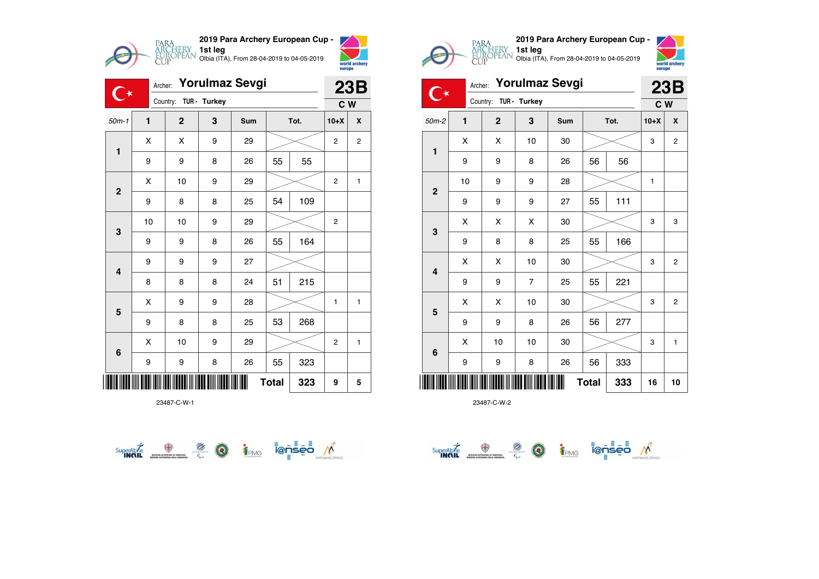

|             |              | <b>Yorulmaz Sevgi</b><br>Archer: |   |     |              |      |                | 23B            |  |  |
|-------------|--------------|----------------------------------|---|-----|--------------|------|----------------|----------------|--|--|
|             |              | Country: TUR- Turkey             |   |     |              |      | C W            |                |  |  |
| $50m-1$     | $\mathbf{1}$ | $\mathbf 2$                      | 3 | Sum |              | Tot. | $10+X$         | X              |  |  |
| 1           | X            | X                                | 9 | 29  |              |      | $\overline{2}$ | $\overline{2}$ |  |  |
|             | 9            | 9                                | 8 | 26  | 55           | 55   |                |                |  |  |
| $\mathbf 2$ | X            | 10                               | 9 | 29  |              |      | $\overline{2}$ | $\mathbf{1}$   |  |  |
|             | 9            | 8                                | 8 | 25  | 54           | 109  |                |                |  |  |
| 3           | $10$         | 10                               | 9 | 29  |              |      | $\overline{2}$ |                |  |  |
|             | 9            | 9                                | 8 | 26  | 55           | 164  |                |                |  |  |
| 4           | 9            | 9                                | 9 | 27  |              |      |                |                |  |  |
|             | 8            | 8                                | 8 | 24  | 51           | 215  |                |                |  |  |
| 5           | X            | 9                                | 9 | 28  |              |      | 1              | $\mathbf{1}$   |  |  |
|             | 9            | 8                                | 8 | 25  | 53           | 268  |                |                |  |  |
| 6           | X            | 10                               | 9 | 29  |              |      | $\overline{2}$ | 1              |  |  |
|             | 9            | 9                                | 8 | 26  | 55           | 323  |                |                |  |  |
|             |              |                                  |   |     | <b>Total</b> | 323  | 9              | 5              |  |  |



Superbote <del>0</del> % + iens long set n'





world archery



 $\overbrace{\phantom{h}^{Supersym}M\alpha h}^{Supersym}=\overbrace{\phantom{h}M\alpha}^{op}=\overbrace{\phantom{h}M\alpha}^{op}=\overbrace{\phantom{h}M\alpha}^{op}=\overbrace{\phantom{h}M\alpha}^{op}=\overbrace{\phantom{h}M\alpha}^{op}$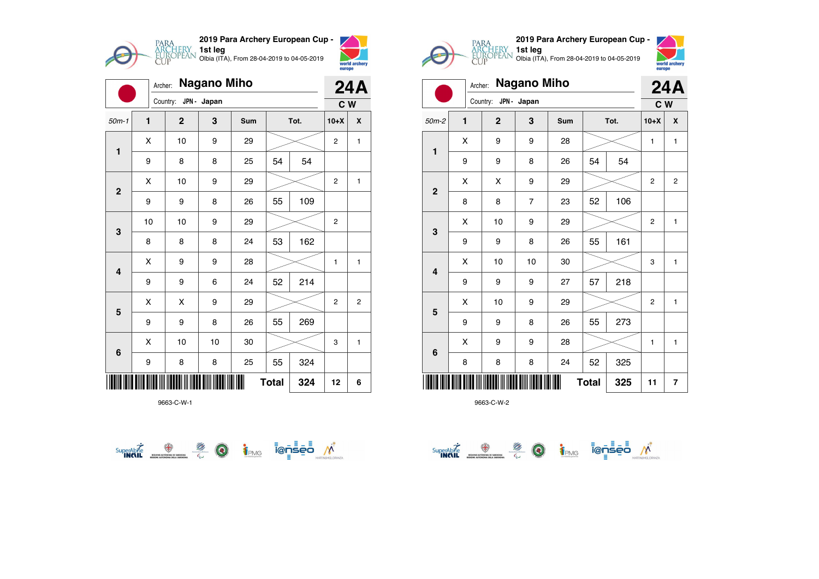

| <b>Nagano Miho</b><br>Archer: |  |              |                      |    |     |              |      |                | <b>24A</b>     |  |
|-------------------------------|--|--------------|----------------------|----|-----|--------------|------|----------------|----------------|--|
|                               |  |              | Country: JPN - Japan |    |     |              |      | C W            |                |  |
| $50m-1$                       |  | $\mathbf{1}$ | $\mathbf 2$          | 3  | Sum |              | Tot. | $10+X$         | X              |  |
| 1                             |  | X            | 10                   | 9  | 29  |              |      | $\overline{2}$ | $\mathbf{1}$   |  |
|                               |  | 9            | 8                    | 8  | 25  | 54           | 54   |                |                |  |
| $\mathbf{2}$                  |  | x            | 10                   | 9  | 29  |              |      | $\overline{2}$ | $\mathbf{1}$   |  |
|                               |  | 9            | 9                    | 8  | 26  | 55           | 109  |                |                |  |
| 3                             |  | 10           | 10                   | 9  | 29  |              |      | $\overline{2}$ |                |  |
|                               |  | 8            | 8                    | 8  | 24  | 53           | 162  |                |                |  |
| 4                             |  | X            | 9                    | 9  | 28  |              |      | $\mathbf{1}$   | $\mathbf{1}$   |  |
|                               |  | 9            | 9                    | 6  | 24  | 52           | 214  |                |                |  |
| 5                             |  | X            | X                    | 9  | 29  |              |      | $\overline{c}$ | $\overline{2}$ |  |
|                               |  | 9            | 9                    | 8  | 26  | 55           | 269  |                |                |  |
| 6                             |  | Χ            | 10                   | 10 | 30  |              |      | 3              | $\mathbf{1}$   |  |
|                               |  | 9            | 8                    | 8  | 25  | 55           | 324  |                |                |  |
|                               |  |              |                      |    |     | <b>Total</b> | 324  | 12             | 6              |  |



Superabite <del>The Superior of the state of the state of the state of the state of the state of the state of the state of the state of the state of the state of the state of the state of the state of the state of the state of</del>





world archery



SuperAbre <del>C</del> Q j<sub>ews</sub> jer<mark>ised n<sup>\*</sup></mark>